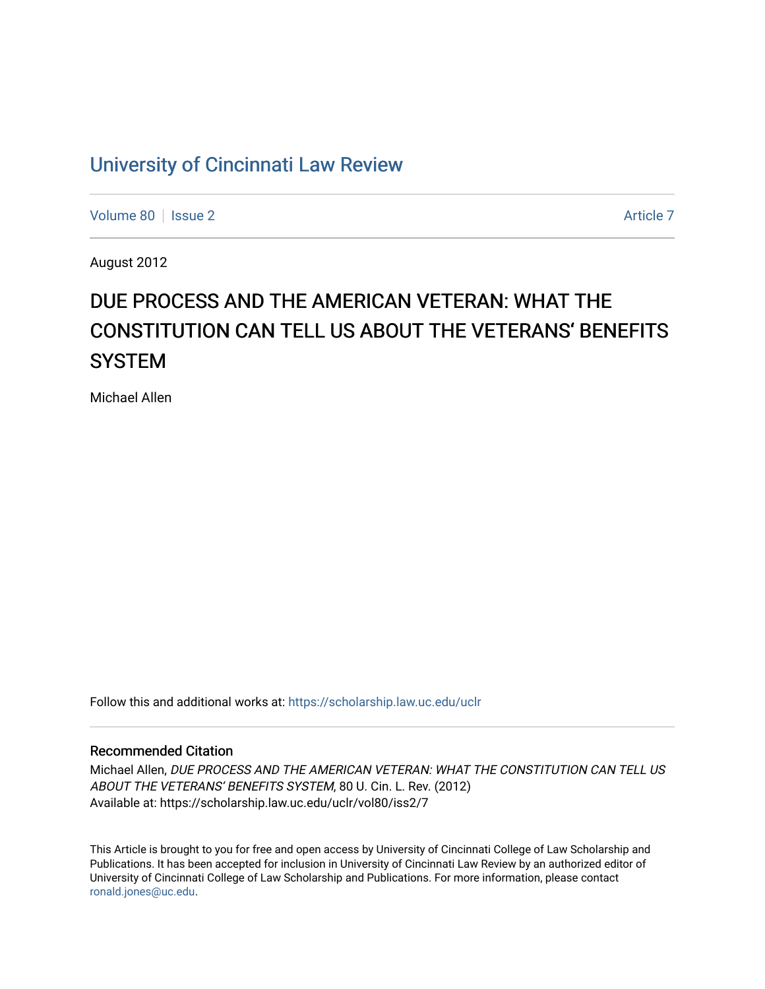# [University of Cincinnati Law Review](https://scholarship.law.uc.edu/uclr)

[Volume 80](https://scholarship.law.uc.edu/uclr/vol80) | [Issue 2](https://scholarship.law.uc.edu/uclr/vol80/iss2) [Article 7](https://scholarship.law.uc.edu/uclr/vol80/iss2/7) Article 7

August 2012

# DUE PROCESS AND THE AMERICAN VETERAN: WHAT THE CONSTITUTION CAN TELL US ABOUT THE VETERANS' BENEFITS **SYSTEM**

Michael Allen

Follow this and additional works at: [https://scholarship.law.uc.edu/uclr](https://scholarship.law.uc.edu/uclr?utm_source=scholarship.law.uc.edu%2Fuclr%2Fvol80%2Fiss2%2F7&utm_medium=PDF&utm_campaign=PDFCoverPages)

# Recommended Citation

Michael Allen, DUE PROCESS AND THE AMERICAN VETERAN: WHAT THE CONSTITUTION CAN TELL US ABOUT THE VETERANS' BENEFITS SYSTEM, 80 U. Cin. L. Rev. (2012) Available at: https://scholarship.law.uc.edu/uclr/vol80/iss2/7

This Article is brought to you for free and open access by University of Cincinnati College of Law Scholarship and Publications. It has been accepted for inclusion in University of Cincinnati Law Review by an authorized editor of University of Cincinnati College of Law Scholarship and Publications. For more information, please contact [ronald.jones@uc.edu](mailto:ronald.jones@uc.edu).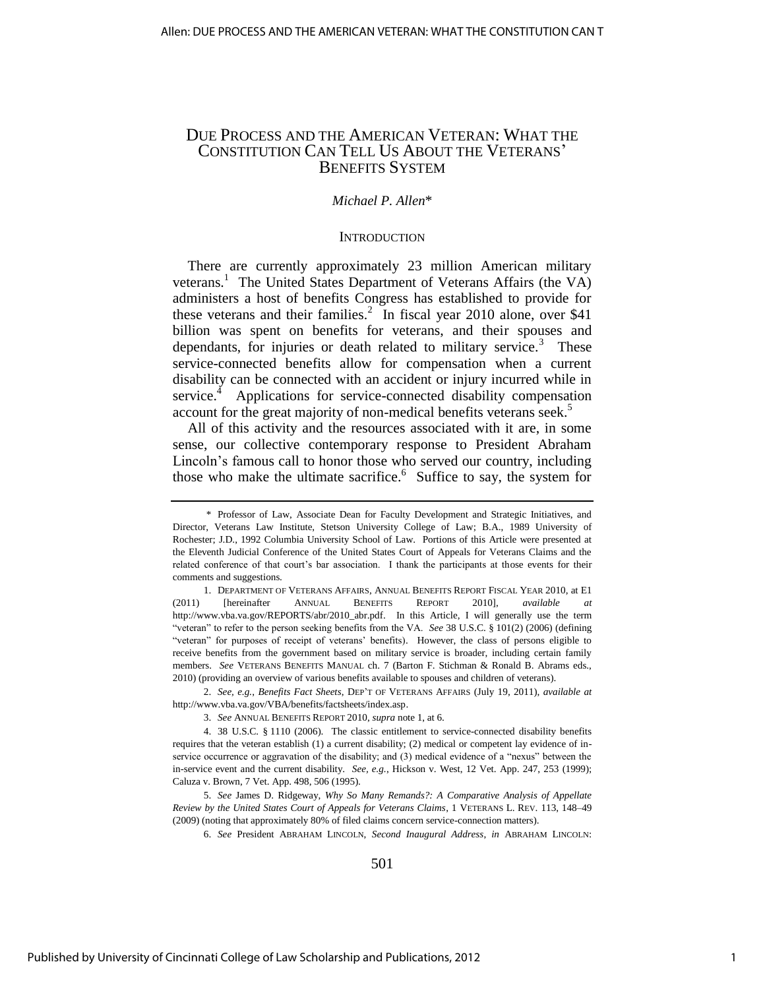# DUE PROCESS AND THE AMERICAN VETERAN: WHAT THE CONSTITUTION CAN TELL US ABOUT THE VETERANS' BENEFITS SYSTEM

## *Michael P. Allen*\*

#### **INTRODUCTION**

There are currently approximately 23 million American military veterans.<sup>1</sup> The United States Department of Veterans Affairs (the VA) administers a host of benefits Congress has established to provide for these veterans and their families.<sup>2</sup> In fiscal year 2010 alone, over \$41 billion was spent on benefits for veterans, and their spouses and dependants, for injuries or death related to military service.<sup>3</sup> These service-connected benefits allow for compensation when a current disability can be connected with an accident or injury incurred while in service.<sup>4</sup> Applications for service-connected disability compensation account for the great majority of non-medical benefits veterans seek.<sup>5</sup>

All of this activity and the resources associated with it are, in some sense, our collective contemporary response to President Abraham Lincoln's famous call to honor those who served our country, including those who make the ultimate sacrifice. $6$  Suffice to say, the system for

2. *See, e.g.*, *Benefits Fact Sheets*, DEP'T OF VETERANS AFFAIRS (July 19, 2011), *available at* [http://www.vba.va.gov/VBA/benefits/factsheets/index.asp.](http://www.vba.va.gov/VBA/benefits/factsheets/index.asp) 

6. *See* President ABRAHAM LINCOLN, *Second Inaugural Address*, *in* ABRAHAM LINCOLN:

501

 <sup>\*</sup> Professor of Law, Associate Dean for Faculty Development and Strategic Initiatives, and Director, Veterans Law Institute, Stetson University College of Law; B.A., 1989 University of Rochester; J.D., 1992 Columbia University School of Law. Portions of this Article were presented at the Eleventh Judicial Conference of the United States Court of Appeals for Veterans Claims and the related conference of that court's bar association. I thank the participants at those events for their comments and suggestions.

<sup>1.</sup> DEPARTMENT OF VETERANS AFFAIRS, ANNUAL BENEFITS REPORT FISCAL YEAR 2010, at E1 (2011) [hereinafter ANNUAL BENEFITS REPORT 2010], *available at* [http://www.vba.va.gov/REPORTS/abr/2010\\_abr.pdf.](http://www.vba.va.gov/REPORTS/abr/2010_abr.pdf) In this Article, I will generally use the term ―veteran‖ to refer to the person seeking benefits from the VA. *See* 38 U.S.C. § 101(2) (2006) (defining ―veteran‖ for purposes of receipt of veterans' benefits). However, the class of persons eligible to receive benefits from the government based on military service is broader, including certain family members. *See* VETERANS BENEFITS MANUAL ch. 7 (Barton F. Stichman & Ronald B. Abrams eds., 2010) (providing an overview of various benefits available to spouses and children of veterans).

<sup>3.</sup> *See* ANNUAL BENEFITS REPORT 2010, *supra* note 1, at 6.

<sup>4. 38</sup> U.S.C. § 1110 (2006). The classic entitlement to service-connected disability benefits requires that the veteran establish (1) a current disability; (2) medical or competent lay evidence of inservice occurrence or aggravation of the disability; and (3) medical evidence of a "nexus" between the in-service event and the current disability. *See, e.g.*, Hickson v. West, 12 Vet. App. 247, 253 (1999); Caluza v. Brown, 7 Vet. App. 498, 506 (1995).

<sup>5.</sup> *See* James D. Ridgeway, *Why So Many Remands?: A Comparative Analysis of Appellate Review by the United States Court of Appeals for Veterans Claims*, 1 VETERANS L. REV. 113, 148–49 (2009) (noting that approximately 80% of filed claims concern service-connection matters).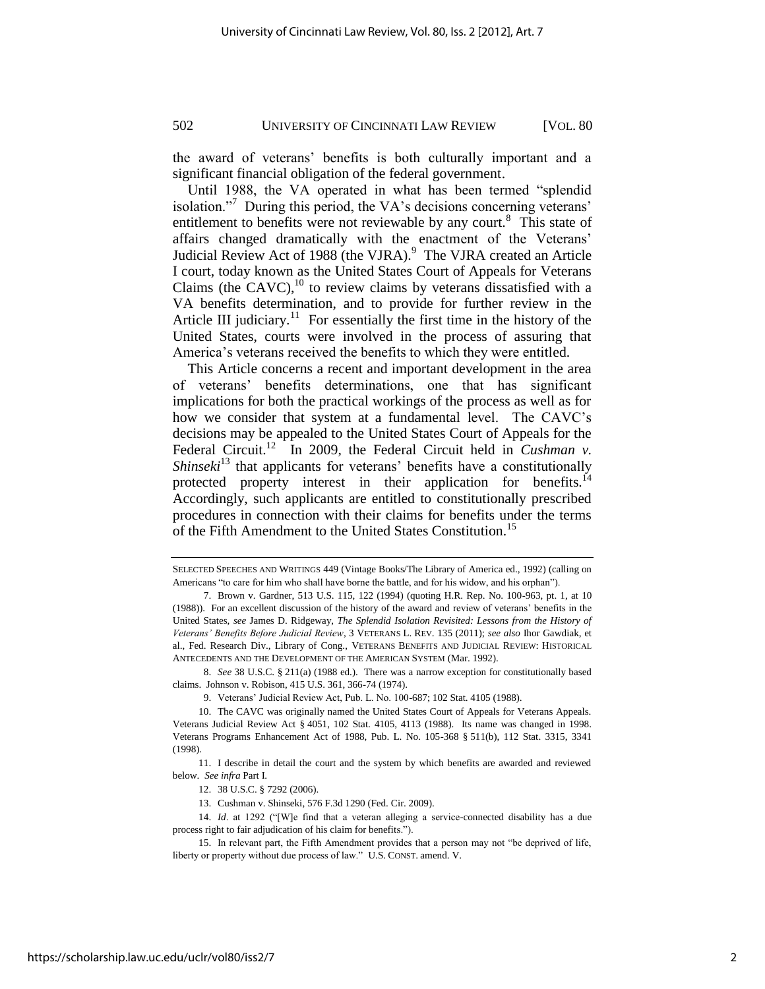the award of veterans' benefits is both culturally important and a significant financial obligation of the federal government.

Until 1988, the VA operated in what has been termed "splendid" isolation."<sup>7</sup> During this period, the VA's decisions concerning veterans' entitlement to benefits were not reviewable by any court.<sup>8</sup> This state of affairs changed dramatically with the enactment of the Veterans' Judicial Review Act of 1988 (the VJRA).<sup>9</sup> The VJRA created an Article I court, today known as the United States Court of Appeals for Veterans Claims (the CAVC), $^{10}$  to review claims by veterans dissatisfied with a VA benefits determination, and to provide for further review in the Article III judiciary.<sup>11</sup> For essentially the first time in the history of the United States, courts were involved in the process of assuring that America's veterans received the benefits to which they were entitled.

This Article concerns a recent and important development in the area of veterans' benefits determinations, one that has significant implications for both the practical workings of the process as well as for how we consider that system at a fundamental level. The CAVC's decisions may be appealed to the United States Court of Appeals for the Federal Circuit.<sup>12</sup> In 2009, the Federal Circuit held in *Cushman v*. *Shinseki*<sup>13</sup> that applicants for veterans' benefits have a constitutionally protected property interest in their application for benefits.<sup>14</sup> Accordingly, such applicants are entitled to constitutionally prescribed procedures in connection with their claims for benefits under the terms of the Fifth Amendment to the United States Constitution.<sup>15</sup>

8. *See* 38 U.S.C. § 211(a) (1988 ed.). There was a narrow exception for constitutionally based claims. Johnson v. Robison, 415 U.S. 361, 366-74 (1974).

SELECTED SPEECHES AND WRITINGS 449 (Vintage Books/The Library of America ed., 1992) (calling on Americans "to care for him who shall have borne the battle, and for his widow, and his orphan").

<sup>7.</sup> Brown v. Gardner, 513 U.S. 115, 122 (1994) (quoting H.R. Rep. No. 100-963, pt. 1, at 10 (1988)). For an excellent discussion of the history of the award and review of veterans' benefits in the United States, *see* James D. Ridgeway, *The Splendid Isolation Revisited: Lessons from the History of Veterans' Benefits Before Judicial Review*, 3 VETERANS L. REV. 135 (2011); *see also* Ihor Gawdiak, et al., Fed. Research Div., Library of Cong., VETERANS BENEFITS AND JUDICIAL REVIEW: HISTORICAL ANTECEDENTS AND THE DEVELOPMENT OF THE AMERICAN SYSTEM (Mar. 1992).

<sup>9.</sup> Veterans' Judicial Review Act, Pub. L. No. 100-687; 102 Stat. 4105 (1988).

<sup>10.</sup> The CAVC was originally named the United States Court of Appeals for Veterans Appeals. Veterans Judicial Review Act § 4051, 102 Stat. 4105, 4113 (1988). Its name was changed in 1998. Veterans Programs Enhancement Act of 1988, Pub. L. No. 105-368 § 511(b), 112 Stat. 3315, 3341 (1998).

<sup>11.</sup> I describe in detail the court and the system by which benefits are awarded and reviewed below. *See infra* Part I.

<sup>12. 38</sup> U.S.C. § 7292 (2006).

<sup>13.</sup> Cushman v. Shinseki, 576 F.3d 1290 (Fed. Cir. 2009).

<sup>14.</sup> *Id.* at 1292 ("[W]e find that a veteran alleging a service-connected disability has a due process right to fair adjudication of his claim for benefits.").

<sup>15.</sup> In relevant part, the Fifth Amendment provides that a person may not "be deprived of life, liberty or property without due process of law." U.S. CONST. amend. V.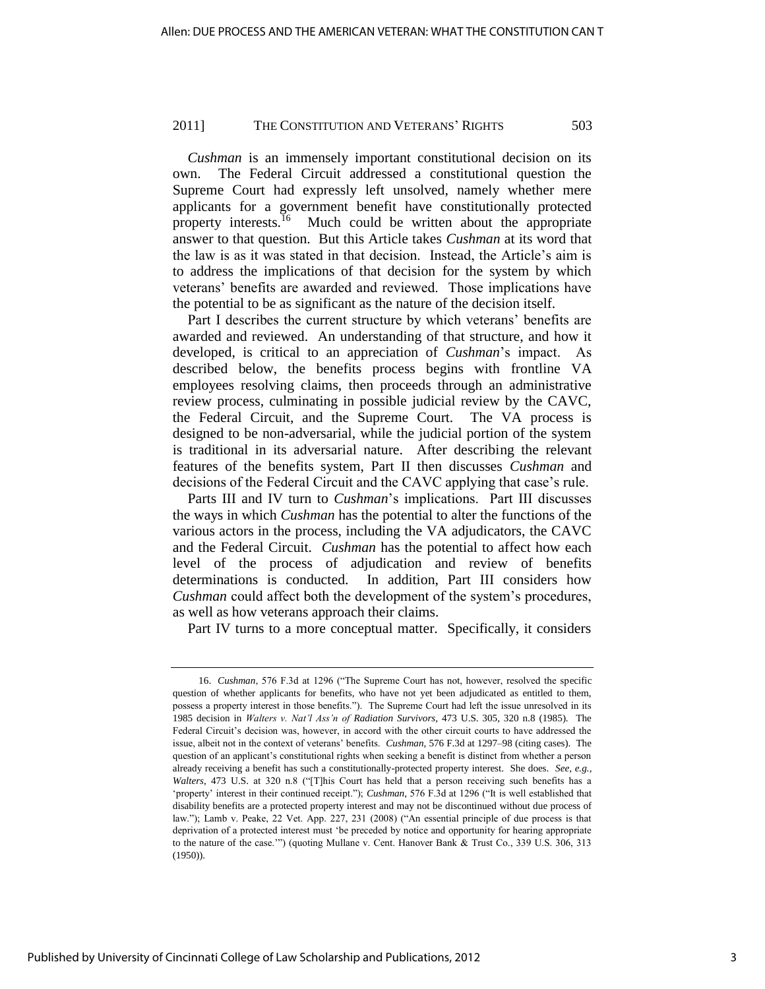*Cushman* is an immensely important constitutional decision on its own. The Federal Circuit addressed a constitutional question the Supreme Court had expressly left unsolved, namely whether mere applicants for a government benefit have constitutionally protected property interests.<sup>16</sup> Much could be written about the appropriate answer to that question. But this Article takes *Cushman* at its word that the law is as it was stated in that decision. Instead, the Article's aim is to address the implications of that decision for the system by which veterans' benefits are awarded and reviewed. Those implications have the potential to be as significant as the nature of the decision itself.

Part I describes the current structure by which veterans' benefits are awarded and reviewed. An understanding of that structure, and how it developed, is critical to an appreciation of *Cushman*'s impact. As described below, the benefits process begins with frontline VA employees resolving claims, then proceeds through an administrative review process, culminating in possible judicial review by the CAVC, the Federal Circuit, and the Supreme Court. The VA process is designed to be non-adversarial, while the judicial portion of the system is traditional in its adversarial nature. After describing the relevant features of the benefits system, Part II then discusses *Cushman* and decisions of the Federal Circuit and the CAVC applying that case's rule.

Parts III and IV turn to *Cushman*'s implications. Part III discusses the ways in which *Cushman* has the potential to alter the functions of the various actors in the process, including the VA adjudicators, the CAVC and the Federal Circuit. *Cushman* has the potential to affect how each level of the process of adjudication and review of benefits determinations is conducted. In addition, Part III considers how *Cushman* could affect both the development of the system's procedures, as well as how veterans approach their claims.

Part IV turns to a more conceptual matter. Specifically, it considers

<sup>16.</sup> *Cushman*, 576 F.3d at 1296 ("The Supreme Court has not, however, resolved the specific question of whether applicants for benefits, who have not yet been adjudicated as entitled to them, possess a property interest in those benefits."). The Supreme Court had left the issue unresolved in its 1985 decision in *Walters v. Nat'l Ass'n of Radiation Survivors*, 473 U.S. 305, 320 n.8 (1985). The Federal Circuit's decision was, however, in accord with the other circuit courts to have addressed the issue, albeit not in the context of veterans' benefits. *Cushman*, 576 F.3d at 1297–98 (citing cases). The question of an applicant's constitutional rights when seeking a benefit is distinct from whether a person already receiving a benefit has such a constitutionally-protected property interest. She does. *See, e.g.*, *Walters*, 473 U.S. at 320 n.8 ("[T]his Court has held that a person receiving such benefits has a 'property' interest in their continued receipt."); *Cushman*, 576 F.3d at 1296 ("It is well established that disability benefits are a protected property interest and may not be discontinued without due process of law."); Lamb v. Peake, 22 Vet. App. 227, 231 (2008) ("An essential principle of due process is that deprivation of a protected interest must 'be preceded by notice and opportunity for hearing appropriate to the nature of the case.'") (quoting Mullane v. Cent. Hanover Bank & Trust Co., 339 U.S. 306, 313 (1950)).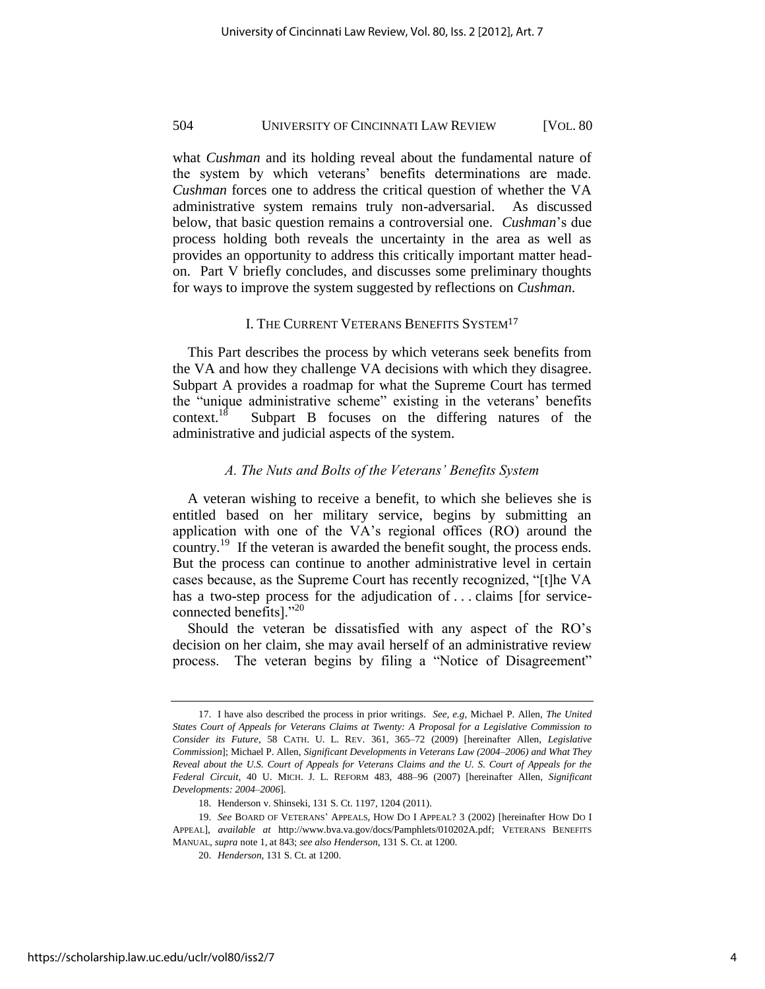what *Cushman* and its holding reveal about the fundamental nature of the system by which veterans' benefits determinations are made. *Cushman* forces one to address the critical question of whether the VA administrative system remains truly non-adversarial. As discussed below, that basic question remains a controversial one. *Cushman*'s due process holding both reveals the uncertainty in the area as well as provides an opportunity to address this critically important matter headon. Part V briefly concludes, and discusses some preliminary thoughts for ways to improve the system suggested by reflections on *Cushman*.

## I. THE CURRENT VETERANS BENEFITS SYSTEM<sup>17</sup>

This Part describes the process by which veterans seek benefits from the VA and how they challenge VA decisions with which they disagree. Subpart A provides a roadmap for what the Supreme Court has termed the "unique administrative scheme" existing in the veterans' benefits context.<sup>18</sup> Subpart B focuses on the differing natures of the administrative and judicial aspects of the system.

## *A. The Nuts and Bolts of the Veterans' Benefits System*

A veteran wishing to receive a benefit, to which she believes she is entitled based on her military service, begins by submitting an application with one of the VA's regional offices (RO) around the country.<sup>19</sup> If the veteran is awarded the benefit sought, the process ends. But the process can continue to another administrative level in certain cases because, as the Supreme Court has recently recognized, "[t]he VA has a two-step process for the adjudication of ... claims [for serviceconnected benefits]. $^{220}$ 

Should the veteran be dissatisfied with any aspect of the RO's decision on her claim, she may avail herself of an administrative review process. The veteran begins by filing a "Notice of Disagreement"

<sup>17.</sup> I have also described the process in prior writings. *See, e.g*, Michael P. Allen, *The United States Court of Appeals for Veterans Claims at Twenty: A Proposal for a Legislative Commission to Consider its Future*, 58 CATH. U. L. REV. 361, 365–72 (2009) [hereinafter Allen, *Legislative Commission*]; Michael P. Allen, *Significant Developments in Veterans Law (2004–2006) and What They Reveal about the U.S. Court of Appeals for Veterans Claims and the U. S. Court of Appeals for the Federal Circuit*, 40 U. MICH. J. L. REFORM 483, 488–96 (2007) [hereinafter Allen, *Significant Developments: 2004–2006*].

<sup>18.</sup> Henderson v. Shinseki, 131 S. Ct. 1197, 1204 (2011).

<sup>19.</sup> *See* BOARD OF VETERANS' APPEALS, HOW DO I APPEAL? 3 (2002) [hereinafter HOW DO I APPEAL], *available at* [http://www.bva.va.gov/docs/Pamphlets/010202A.pdf;](http://www.bva.va.gov/docs/Pamphlets/010202A.pdf) VETERANS BENEFITS MANUAL, *supra* note 1, at 843; *see also Henderson*, 131 S. Ct. at 1200.

<sup>20.</sup> *Henderson*, 131 S. Ct. at 1200.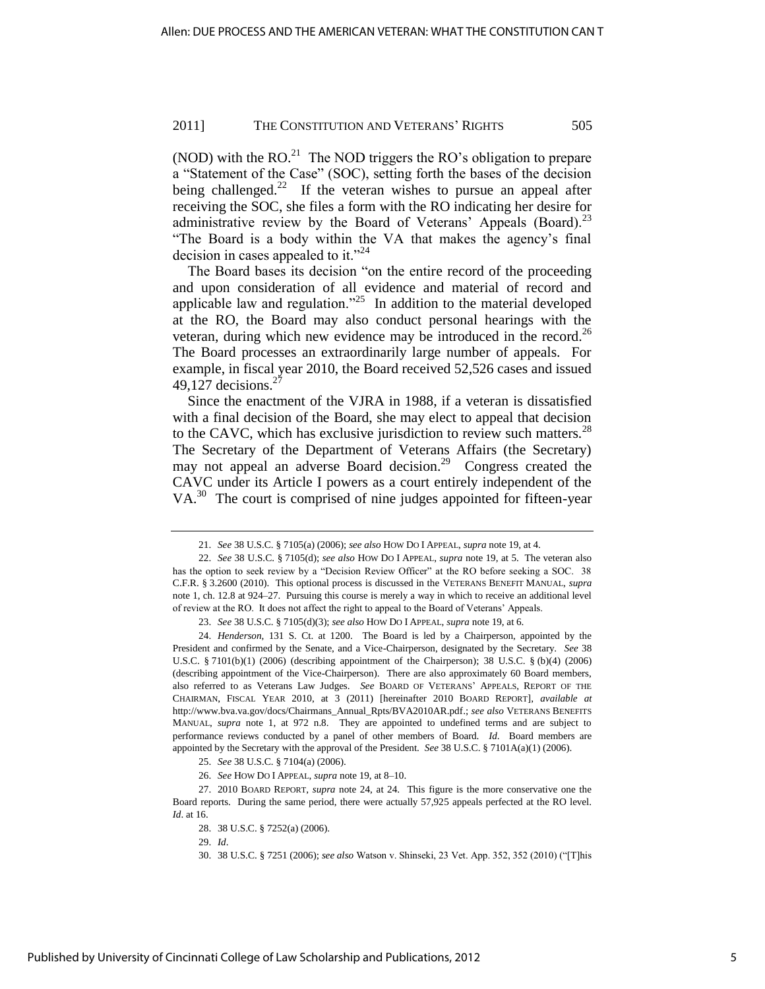(NOD) with the  $RO<sup>21</sup>$  The NOD triggers the RO's obligation to prepare a "Statement of the Case" (SOC), setting forth the bases of the decision being challenged.<sup>22</sup> If the veteran wishes to pursue an appeal after receiving the SOC, she files a form with the RO indicating her desire for administrative review by the Board of Veterans' Appeals (Board).<sup>23</sup> ―The Board is a body within the VA that makes the agency's final decision in cases appealed to it."<sup>24</sup>

The Board bases its decision "on the entire record of the proceeding and upon consideration of all evidence and material of record and applicable law and regulation.<sup> $25$ </sup> In addition to the material developed at the RO, the Board may also conduct personal hearings with the veteran, during which new evidence may be introduced in the record.<sup>26</sup> The Board processes an extraordinarily large number of appeals. For example, in fiscal year 2010, the Board received 52,526 cases and issued 49,127 decisions. $^{2}$ 

Since the enactment of the VJRA in 1988, if a veteran is dissatisfied with a final decision of the Board, she may elect to appeal that decision to the CAVC, which has exclusive jurisdiction to review such matters. $^{28}$ The Secretary of the Department of Veterans Affairs (the Secretary) may not appeal an adverse Board decision.<sup>29</sup> Congress created the CAVC under its Article I powers as a court entirely independent of the VA.<sup>30</sup> The court is comprised of nine judges appointed for fifteen-year

<sup>21.</sup> *See* 38 U.S.C. § 7105(a) (2006); *see also* HOW DO I APPEAL, *supra* note 19, at 4.

<sup>22.</sup> *See* 38 U.S.C. § 7105(d); *see also* HOW DO I APPEAL, *supra* note 19, at 5. The veteran also has the option to seek review by a "Decision Review Officer" at the RO before seeking a SOC. 38 C.F.R. § 3.2600 (2010). This optional process is discussed in the VETERANS BENEFIT MANUAL, *supra*  note 1, ch. 12.8 at 924–27. Pursuing this course is merely a way in which to receive an additional level of review at the RO. It does not affect the right to appeal to the Board of Veterans' Appeals.

<sup>23.</sup> *See* 38 U.S.C. § 7105(d)(3); *see also* HOW DO I APPEAL, *supra* note 19, at 6.

<sup>24.</sup> *Henderson*, 131 S. Ct. at 1200. The Board is led by a Chairperson, appointed by the President and confirmed by the Senate, and a Vice-Chairperson, designated by the Secretary. *See* 38 U.S.C. § 7101(b)(1) (2006) (describing appointment of the Chairperson); 38 U.S.C. § (b)(4) (2006) (describing appointment of the Vice-Chairperson). There are also approximately 60 Board members, also referred to as Veterans Law Judges. *See* BOARD OF VETERANS' APPEALS, REPORT OF THE CHAIRMAN, FISCAL YEAR 2010, at 3 (2011) [hereinafter 2010 BOARD REPORT], *available at*  [http://www.bva.va.gov/docs/Chairmans\\_Annual\\_Rpts/BVA2010AR.pdf.;](http://www.bva.va.gov/docs/Chairmans_Annual_Rpts/BVA2010AR.pdf) *see also* VETERANS BENEFITS MANUAL, *supra* note 1, at 972 n.8. They are appointed to undefined terms and are subject to performance reviews conducted by a panel of other members of Board. *Id*. Board members are appointed by the Secretary with the approval of the President. *See* 38 U.S.C. § 7101A(a)(1) (2006).

<sup>25.</sup> *See* 38 U.S.C. § 7104(a) (2006).

<sup>26.</sup> *See* HOW DO I APPEAL, *supra* note 19, at 8–10.

<sup>27. 2010</sup> BOARD REPORT, *supra* note 24, at 24. This figure is the more conservative one the Board reports. During the same period, there were actually 57,925 appeals perfected at the RO level. *Id*. at 16.

<sup>28. 38</sup> U.S.C. § 7252(a) (2006).

<sup>29.</sup> *Id*.

<sup>30. 38</sup> U.S.C. § 7251 (2006); see also Watson v. Shinseki, 23 Vet. App. 352, 352 (2010) ("[T]his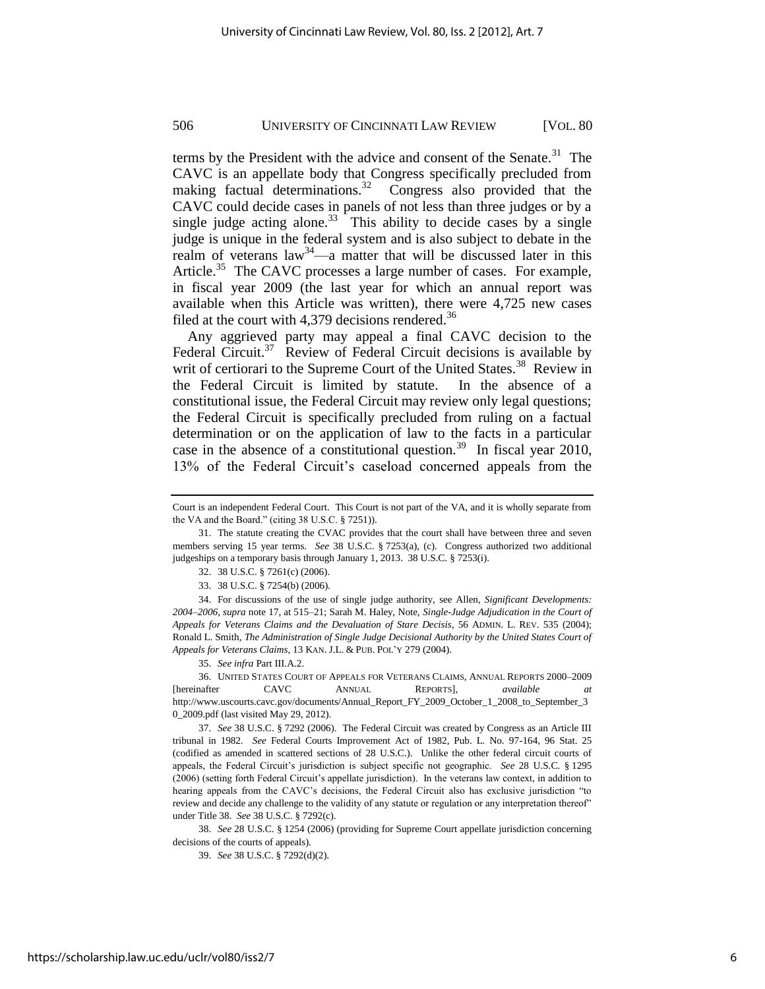terms by the President with the advice and consent of the Senate. $31$  The CAVC is an appellate body that Congress specifically precluded from making factual determinations.<sup>32</sup> Congress also provided that the CAVC could decide cases in panels of not less than three judges or by a single judge acting alone.<sup>33</sup> This ability to decide cases by a single judge is unique in the federal system and is also subject to debate in the realm of veterans  $law<sup>34</sup>$ —a matter that will be discussed later in this Article.<sup>35</sup> The CAVC processes a large number of cases. For example, in fiscal year 2009 (the last year for which an annual report was available when this Article was written), there were 4,725 new cases filed at the court with 4,379 decisions rendered.<sup>36</sup>

Any aggrieved party may appeal a final CAVC decision to the Federal Circuit.<sup>37</sup> Review of Federal Circuit decisions is available by writ of certiorari to the Supreme Court of the United States.<sup>38</sup> Review in the Federal Circuit is limited by statute. In the absence of a constitutional issue, the Federal Circuit may review only legal questions; the Federal Circuit is specifically precluded from ruling on a factual determination or on the application of law to the facts in a particular case in the absence of a constitutional question.<sup>39</sup> In fiscal year 2010, 13% of the Federal Circuit's caseload concerned appeals from the

33. 38 U.S.C. § 7254(b) (2006).

34. For discussions of the use of single judge authority, see Allen, *Significant Developments: 2004–2006*, *supra* note 17, at 515–21; Sarah M. Haley, Note, *Single-Judge Adjudication in the Court of Appeals for Veterans Claims and the Devaluation of Stare Decisis*, 56 ADMIN. L. REV. 535 (2004); Ronald L. Smith, *The Administration of Single Judge Decisional Authority by the United States Court of Appeals for Veterans Claims*, 13 KAN. J.L. & PUB. POL'Y 279 (2004).

35. *See infra* Part III.A.2.

36. UNITED STATES COURT OF APPEALS FOR VETERANS CLAIMS, ANNUAL REPORTS 2000–2009 [hereinafter CAVC ANNUAL REPORTS], *available at*  [http://www.uscourts.cavc.gov/documents/Annual\\_Report\\_FY\\_2009\\_October\\_1\\_2008\\_to\\_September\\_3](http://www.uscourts.cavc.gov/documents/Annual_Report_FY_2009_October_1_2008_to_September_30_2009.pdf) [0\\_2009.pdf](http://www.uscourts.cavc.gov/documents/Annual_Report_FY_2009_October_1_2008_to_September_30_2009.pdf) (last visited May 29, 2012).

37. *See* 38 U.S.C. § 7292 (2006). The Federal Circuit was created by Congress as an Article III tribunal in 1982. *See* Federal Courts Improvement Act of 1982, Pub. L. No. 97-164, 96 Stat. 25 (codified as amended in scattered sections of 28 U.S.C.). Unlike the other federal circuit courts of appeals, the Federal Circuit's jurisdiction is subject specific not geographic. *See* 28 U.S.C. § 1295 (2006) (setting forth Federal Circuit's appellate jurisdiction). In the veterans law context, in addition to hearing appeals from the CAVC's decisions, the Federal Circuit also has exclusive jurisdiction "to review and decide any challenge to the validity of any statute or regulation or any interpretation thereof" under Title 38. *See* 38 U.S.C. § 7292(c).

38. *See* 28 U.S.C. § 1254 (2006) (providing for Supreme Court appellate jurisdiction concerning decisions of the courts of appeals).

39. *See* 38 U.S.C. § 7292(d)(2).

Court is an independent Federal Court. This Court is not part of the VA, and it is wholly separate from the VA and the Board." (citing 38 U.S.C. § 7251)).

<sup>31.</sup> The statute creating the CVAC provides that the court shall have between three and seven members serving 15 year terms. *See* 38 U.S.C. § 7253(a), (c). Congress authorized two additional judgeships on a temporary basis through January 1, 2013. 38 U.S.C. § 7253(i).

<sup>32. 38</sup> U.S.C. § 7261(c) (2006).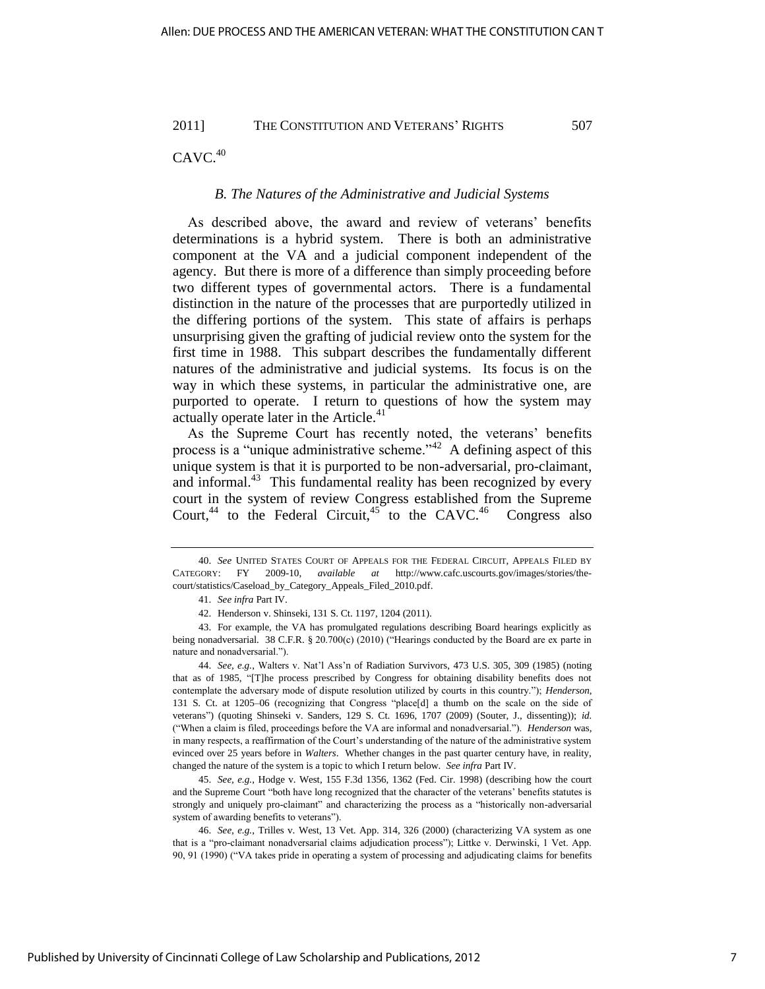$CAVC.<sup>40</sup>$ 

## *B. The Natures of the Administrative and Judicial Systems*

As described above, the award and review of veterans' benefits determinations is a hybrid system. There is both an administrative component at the VA and a judicial component independent of the agency. But there is more of a difference than simply proceeding before two different types of governmental actors. There is a fundamental distinction in the nature of the processes that are purportedly utilized in the differing portions of the system. This state of affairs is perhaps unsurprising given the grafting of judicial review onto the system for the first time in 1988. This subpart describes the fundamentally different natures of the administrative and judicial systems. Its focus is on the way in which these systems, in particular the administrative one, are purported to operate. I return to questions of how the system may actually operate later in the Article.<sup>41</sup>

As the Supreme Court has recently noted, the veterans' benefits process is a "unique administrative scheme."<sup>42</sup> A defining aspect of this unique system is that it is purported to be non-adversarial, pro-claimant, and informal.<sup>43</sup> This fundamental reality has been recognized by every court in the system of review Congress established from the Supreme Court,<sup>44</sup> to the Federal Circuit,<sup>45</sup> to the CAVC.<sup>46</sup> Congress also

45. *See, e.g.*, Hodge v. West, 155 F.3d 1356, 1362 (Fed. Cir. 1998) (describing how the court and the Supreme Court "both have long recognized that the character of the veterans' benefits statutes is strongly and uniquely pro-claimant" and characterizing the process as a "historically non-adversarial system of awarding benefits to veterans").

46. *See, e.g.*, Trilles v. West, 13 Vet. App. 314, 326 (2000) (characterizing VA system as one that is a "pro-claimant nonadversarial claims adjudication process"); Littke v. Derwinski, 1 Vet. App. 90, 91 (1990) ("VA takes pride in operating a system of processing and adjudicating claims for benefits

<sup>40.</sup> *See* UNITED STATES COURT OF APPEALS FOR THE FEDERAL CIRCUIT, APPEALS FILED BY CATEGORY: FY 2009-10, *available at* [http://www.cafc.uscourts.gov/images/stories/the](http://www.cafc.uscourts.gov/images/stories/the-court/statistics/Caseload_by_Category_Appeals_Filed_2010.pdf)[court/statistics/Caseload\\_by\\_Category\\_Appeals\\_Filed\\_2010.pdf.](http://www.cafc.uscourts.gov/images/stories/the-court/statistics/Caseload_by_Category_Appeals_Filed_2010.pdf) 

<sup>41.</sup> *See infra* Part IV.

<sup>42.</sup> Henderson v. Shinseki, 131 S. Ct. 1197, 1204 (2011).

<sup>43.</sup> For example, the VA has promulgated regulations describing Board hearings explicitly as being nonadversarial. 38 C.F.R. § 20.700(c) (2010) ("Hearings conducted by the Board are ex parte in nature and nonadversarial."

<sup>44.</sup> *See, e.g.*, Walters v. Nat'l Ass'n of Radiation Survivors, 473 U.S. 305, 309 (1985) (noting that as of 1985, "[T]he process prescribed by Congress for obtaining disability benefits does not contemplate the adversary mode of dispute resolution utilized by courts in this country."); *Henderson*, 131 S. Ct. at 1205–06 (recognizing that Congress "place[d] a thumb on the scale on the side of veterans‖) (quoting Shinseki v. Sanders, 129 S. Ct. 1696, 1707 (2009) (Souter, J., dissenting)); *id.*  (―When a claim is filed, proceedings before the VA are informal and nonadversarial.‖). *Henderson* was, in many respects, a reaffirmation of the Court's understanding of the nature of the administrative system evinced over 25 years before in *Walters*. Whether changes in the past quarter century have, in reality, changed the nature of the system is a topic to which I return below. *See infra* Part IV.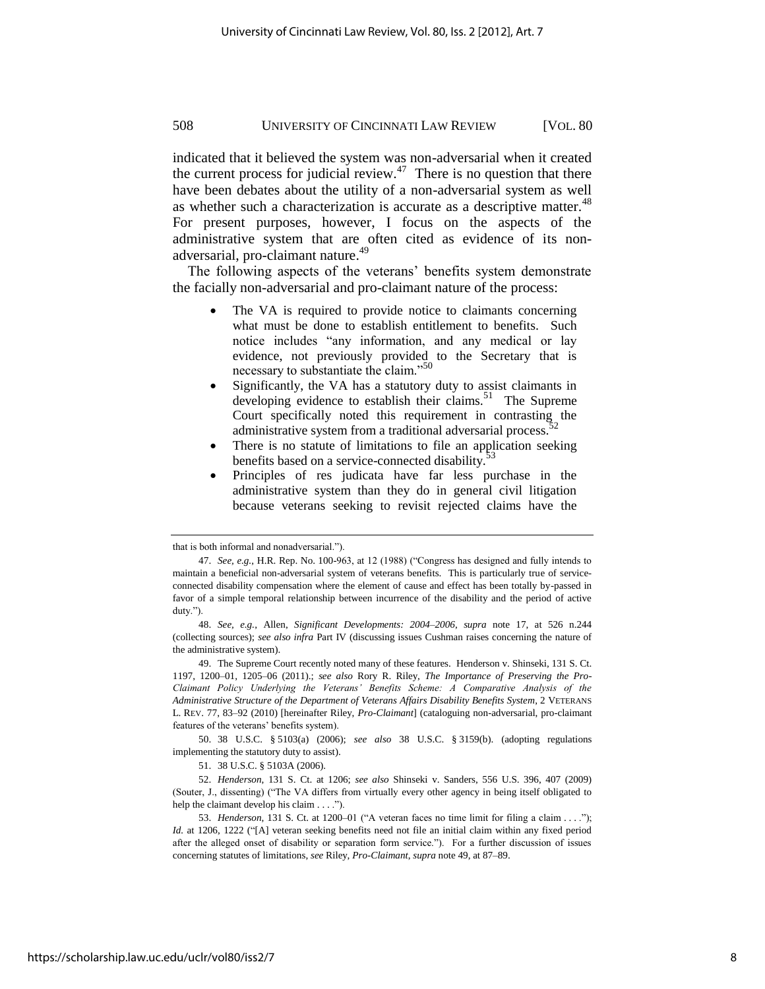indicated that it believed the system was non-adversarial when it created the current process for judicial review. $47$  There is no question that there have been debates about the utility of a non-adversarial system as well as whether such a characterization is accurate as a descriptive matter. $48$ For present purposes, however, I focus on the aspects of the administrative system that are often cited as evidence of its nonadversarial, pro-claimant nature.<sup>49</sup>

The following aspects of the veterans' benefits system demonstrate the facially non-adversarial and pro-claimant nature of the process:

- The VA is required to provide notice to claimants concerning what must be done to establish entitlement to benefits. Such notice includes "any information, and any medical or lay evidence, not previously provided to the Secretary that is necessary to substantiate the claim."<sup>50</sup>
- Significantly, the VA has a statutory duty to assist claimants in developing evidence to establish their claims.<sup>51</sup> The Supreme Court specifically noted this requirement in contrasting the administrative system from a traditional adversarial process. $52$
- There is no statute of limitations to file an application seeking benefits based on a service-connected disability.<sup>5</sup>
- Principles of res judicata have far less purchase in the administrative system than they do in general civil litigation because veterans seeking to revisit rejected claims have the

50. 38 U.S.C. § 5103(a) (2006); *see also* 38 U.S.C. § 3159(b). (adopting regulations implementing the statutory duty to assist).

that is both informal and nonadversarial.").

<sup>47.</sup> *See, e.g.*, H.R. Rep. No. 100-963, at 12 (1988) ("Congress has designed and fully intends to maintain a beneficial non-adversarial system of veterans benefits. This is particularly true of serviceconnected disability compensation where the element of cause and effect has been totally by-passed in favor of a simple temporal relationship between incurrence of the disability and the period of active duty.").

<sup>48.</sup> *See, e.g.*, Allen, *Significant Developments: 2004–2006*, *supra* note 17, at 526 n.244 (collecting sources); *see also infra* Part IV (discussing issues Cushman raises concerning the nature of the administrative system).

<sup>49.</sup> The Supreme Court recently noted many of these features. Henderson v. Shinseki, 131 S. Ct. 1197, 1200–01, 1205–06 (2011).; *see also* Rory R. Riley, *The Importance of Preserving the Pro-Claimant Policy Underlying the Veterans' Benefits Scheme: A Comparative Analysis of the Administrative Structure of the Department of Veterans Affairs Disability Benefits System*, 2 VETERANS L. REV. 77, 83–92 (2010) [hereinafter Riley, *Pro-Claimant*] (cataloguing non-adversarial, pro-claimant features of the veterans' benefits system).

<sup>51. 38</sup> U.S.C. § 5103A (2006).

<sup>52.</sup> *Henderson*, 131 S. Ct. at 1206; *see also* Shinseki v. Sanders, 556 U.S. 396, 407 (2009) (Souter, J., dissenting) ("The VA differs from virtually every other agency in being itself obligated to help the claimant develop his claim . . . .").

<sup>53.</sup> *Henderson*, 131 S. Ct. at 1200–01 ( $A$  veteran faces no time limit for filing a claim . . . ."); *Id.* at 1206, 1222 ("[A] veteran seeking benefits need not file an initial claim within any fixed period after the alleged onset of disability or separation form service."). For a further discussion of issues concerning statutes of limitations, *see* Riley, *Pro-Claimant*, *supra* note 49, at 87–89.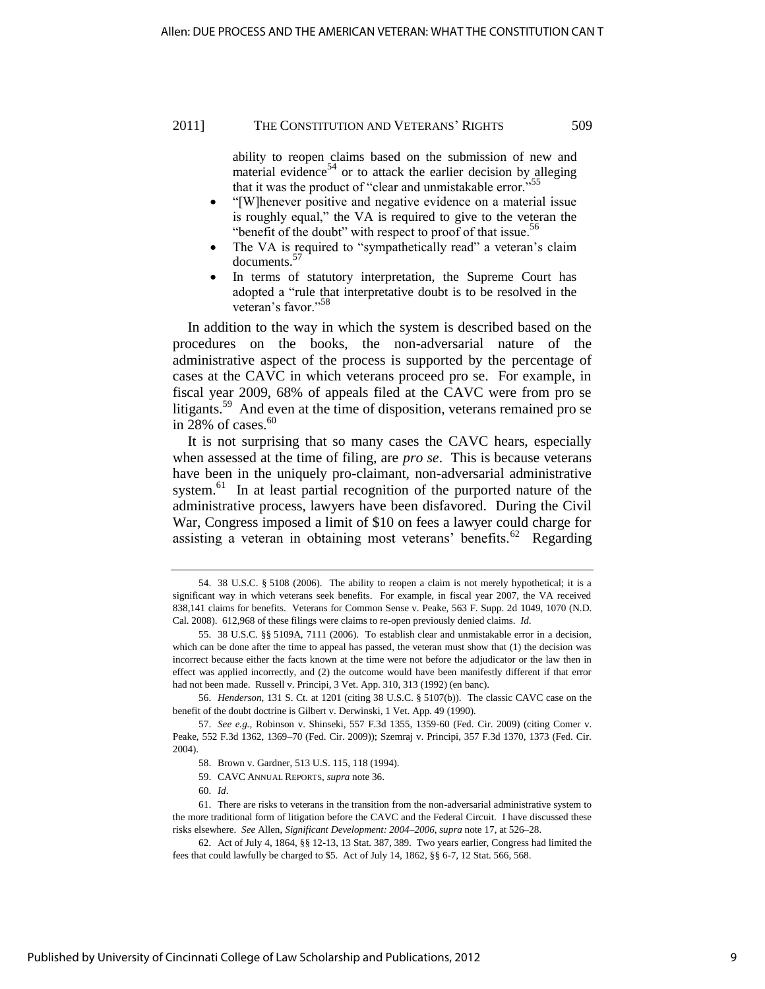ability to reopen claims based on the submission of new and material evidence<sup>54</sup> or to attack the earlier decision by alleging that it was the product of "clear and unmistakable error."<sup>55</sup>

- ―[W]henever positive and negative evidence on a material issue is roughly equal," the VA is required to give to the veteran the "benefit of the doubt" with respect to proof of that issue. $56$
- The VA is required to "sympathetically read" a veteran's claim documents.<sup>57</sup>
- In terms of statutory interpretation, the Supreme Court has adopted a "rule that interpretative doubt is to be resolved in the veteran's favor."<sup>58</sup>

In addition to the way in which the system is described based on the procedures on the books, the non-adversarial nature of the administrative aspect of the process is supported by the percentage of cases at the CAVC in which veterans proceed pro se. For example, in fiscal year 2009, 68% of appeals filed at the CAVC were from pro se litigants.<sup>59</sup> And even at the time of disposition, veterans remained pro se in 28% of cases. $60$ 

It is not surprising that so many cases the CAVC hears, especially when assessed at the time of filing, are *pro se*. This is because veterans have been in the uniquely pro-claimant, non-adversarial administrative system.<sup>61</sup> In at least partial recognition of the purported nature of the administrative process, lawyers have been disfavored. During the Civil War, Congress imposed a limit of \$10 on fees a lawyer could charge for assisting a veteran in obtaining most veterans' benefits.<sup>62</sup> Regarding

<sup>54. 38</sup> U.S.C. § 5108 (2006). The ability to reopen a claim is not merely hypothetical; it is a significant way in which veterans seek benefits. For example, in fiscal year 2007, the VA received 838,141 claims for benefits. Veterans for Common Sense v. Peake, 563 F. Supp. 2d 1049, 1070 (N.D. Cal. 2008). 612,968 of these filings were claims to re-open previously denied claims. *Id*.

<sup>55. 38</sup> U.S.C. §§ 5109A, 7111 (2006). To establish clear and unmistakable error in a decision, which can be done after the time to appeal has passed, the veteran must show that (1) the decision was incorrect because either the facts known at the time were not before the adjudicator or the law then in effect was applied incorrectly, and (2) the outcome would have been manifestly different if that error had not been made. Russell v. Principi, 3 Vet. App. 310, 313 (1992) (en banc).

<sup>56.</sup> *Henderson*, 131 S. Ct. at 1201 (citing 38 U.S.C. § 5107(b)). The classic CAVC case on the benefit of the doubt doctrine is Gilbert v. Derwinski, 1 Vet. App. 49 (1990).

<sup>57.</sup> *See e.g.*, Robinson v. Shinseki, 557 F.3d 1355, 1359-60 (Fed. Cir. 2009) (citing Comer v. Peake, 552 F.3d 1362, 1369–70 (Fed. Cir. 2009)); Szemraj v. Principi, 357 F.3d 1370, 1373 (Fed. Cir. 2004).

<sup>58.</sup> Brown v. Gardner, 513 U.S. 115, 118 (1994).

<sup>59.</sup> CAVC ANNUAL REPORTS, *supra* note 36.

<sup>60.</sup> *Id*.

<sup>61.</sup> There are risks to veterans in the transition from the non-adversarial administrative system to the more traditional form of litigation before the CAVC and the Federal Circuit. I have discussed these risks elsewhere. *See* Allen, *Significant Development: 2004–2006*, *supra* note 17, at 526–28.

<sup>62.</sup> Act of July 4, 1864, §§ 12-13, 13 Stat. 387, 389. Two years earlier, Congress had limited the fees that could lawfully be charged to \$5. Act of July 14, 1862, §§ 6-7, 12 Stat. 566, 568.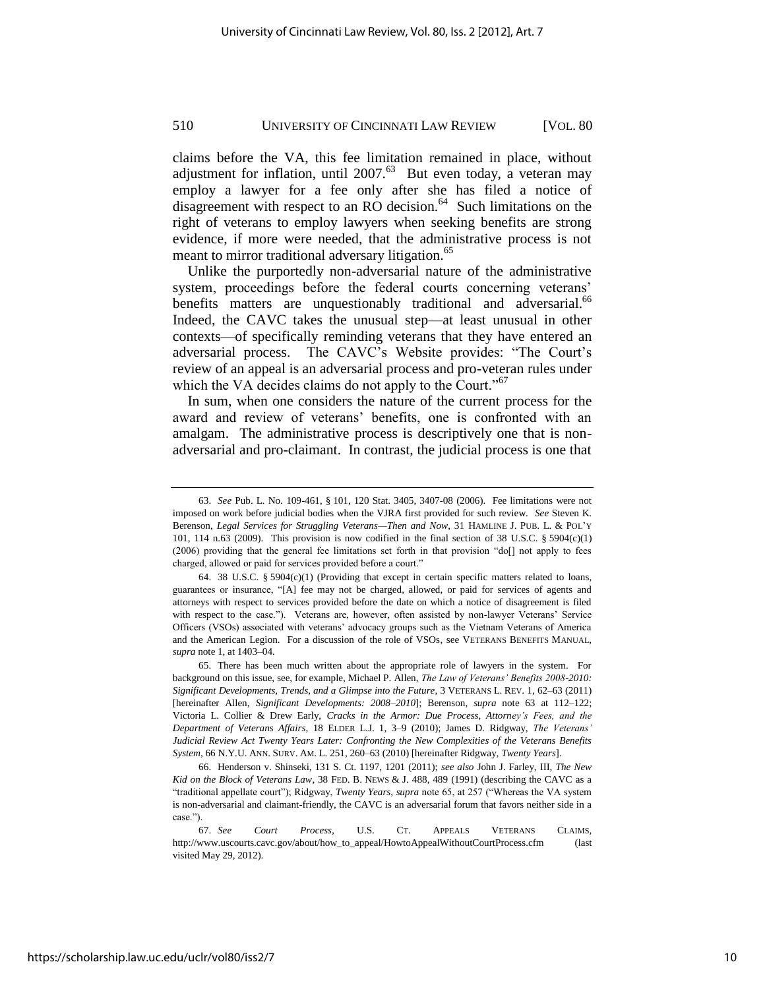claims before the VA, this fee limitation remained in place, without adjustment for inflation, until  $2007$ .<sup>63</sup> But even today, a veteran may employ a lawyer for a fee only after she has filed a notice of disagreement with respect to an RO decision.<sup>64</sup> Such limitations on the right of veterans to employ lawyers when seeking benefits are strong evidence, if more were needed, that the administrative process is not meant to mirror traditional adversary litigation.<sup>65</sup>

Unlike the purportedly non-adversarial nature of the administrative system, proceedings before the federal courts concerning veterans' benefits matters are unquestionably traditional and adversarial.<sup>66</sup> Indeed, the CAVC takes the unusual step—at least unusual in other contexts—of specifically reminding veterans that they have entered an adversarial process. The CAVC's Website provides: "The Court's review of an appeal is an adversarial process and pro-veteran rules under which the VA decides claims do not apply to the Court." $67$ 

In sum, when one considers the nature of the current process for the award and review of veterans' benefits, one is confronted with an amalgam. The administrative process is descriptively one that is nonadversarial and pro-claimant. In contrast, the judicial process is one that

<sup>63.</sup> *See* Pub. L. No. 109-461, § 101, 120 Stat. 3405, 3407-08 (2006). Fee limitations were not imposed on work before judicial bodies when the VJRA first provided for such review. *See* Steven K. Berenson, *Legal Services for Struggling Veterans—Then and Now*, 31 HAMLINE J. PUB. L. & POL'Y 101, 114 n.63 (2009). This provision is now codified in the final section of 38 U.S.C.  $\S 5904(c)(1)$ (2006) providing that the general fee limitations set forth in that provision "do[] not apply to fees charged, allowed or paid for services provided before a court."

<sup>64. 38</sup> U.S.C. § 5904 $(c)(1)$  (Providing that except in certain specific matters related to loans, guarantees or insurance, "[A] fee may not be charged, allowed, or paid for services of agents and attorneys with respect to services provided before the date on which a notice of disagreement is filed with respect to the case."). Veterans are, however, often assisted by non-lawyer Veterans' Service Officers (VSOs) associated with veterans' advocacy groups such as the Vietnam Veterans of America and the American Legion. For a discussion of the role of VSOs, see VETERANS BENEFITS MANUAL, *supra* note 1, at 1403–04.

<sup>65.</sup> There has been much written about the appropriate role of lawyers in the system. For background on this issue, see, for example, Michael P. Allen, *The Law of Veterans' Benefits 2008-2010: Significant Developments, Trends, and a Glimpse into the Future*, 3 VETERANS L. REV. 1, 62–63 (2011) [hereinafter Allen, *Significant Developments: 2008–2010*]; Berenson, *supra* note 63 at 112–122; Victoria L. Collier & Drew Early, *Cracks in the Armor: Due Process, Attorney's Fees, and the Department of Veterans Affairs*, 18 ELDER L.J. 1, 3–9 (2010); James D. Ridgway, *The Veterans' Judicial Review Act Twenty Years Later: Confronting the New Complexities of the Veterans Benefits System*, 66 N.Y.U. ANN. SURV. AM. L. 251, 260–63 (2010) [hereinafter Ridgway, *Twenty Years*].

<sup>66.</sup> Henderson v. Shinseki, 131 S. Ct. 1197, 1201 (2011); *see also* John J. Farley, III, *The New Kid on the Block of Veterans Law*, 38 FED. B. NEWS & J. 488, 489 (1991) (describing the CAVC as a "traditional appellate court"); Ridgway, *Twenty Years*, *supra* note 65, at 257 ("Whereas the VA system") is non-adversarial and claimant-friendly, the CAVC is an adversarial forum that favors neither side in a case.").

<sup>67.</sup> *See Court Process*, U.S. CT. APPEALS VETERANS CLAIMS, [http://www.uscourts.cavc.gov/about/how\\_to\\_appeal/HowtoAppealWithoutCourtProcess.cfm](http://www.uscourts.cavc.gov/about/how_to_appeal/HowtoAppealWithoutCourtProcess.cfm) (last visited May 29, 2012)*.*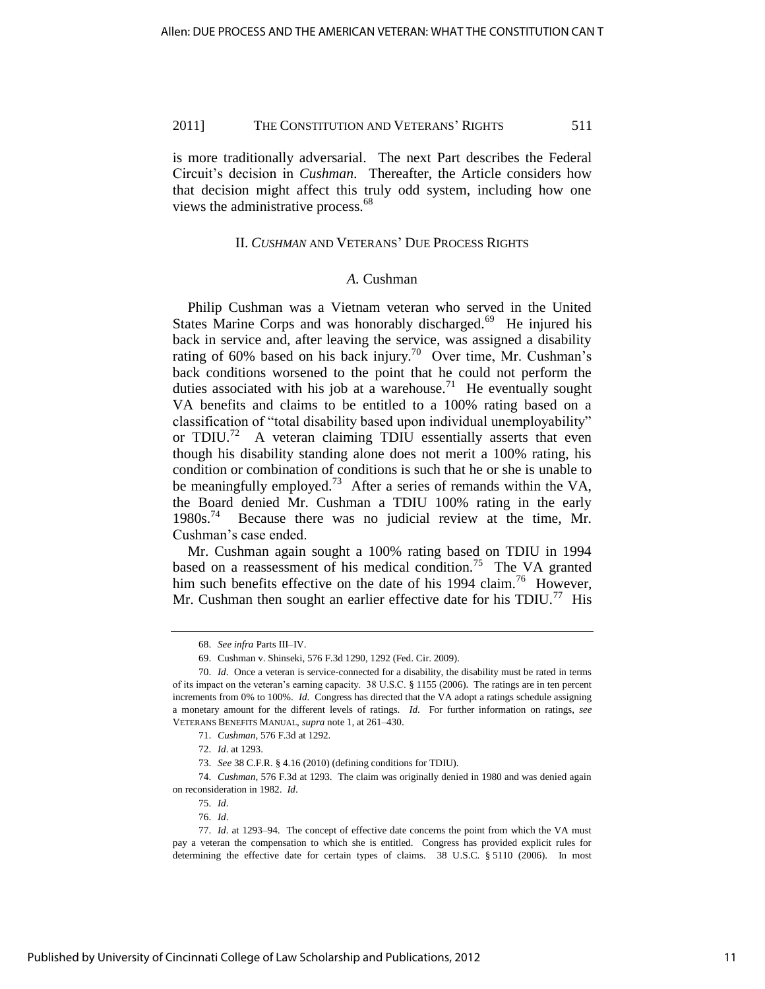is more traditionally adversarial. The next Part describes the Federal Circuit's decision in *Cushman*. Thereafter, the Article considers how that decision might affect this truly odd system, including how one views the administrative process.<sup>68</sup>

## II. *CUSHMAN* AND VETERANS' DUE PROCESS RIGHTS

#### *A.* Cushman

Philip Cushman was a Vietnam veteran who served in the United States Marine Corps and was honorably discharged.<sup>69</sup> He injured his back in service and, after leaving the service, was assigned a disability rating of 60% based on his back injury.<sup>70</sup> Over time, Mr. Cushman's back conditions worsened to the point that he could not perform the duties associated with his job at a warehouse.<sup>71</sup> He eventually sought VA benefits and claims to be entitled to a 100% rating based on a classification of "total disability based upon individual unemployability" or TDIU.<sup>72</sup> A veteran claiming TDIU essentially asserts that even though his disability standing alone does not merit a 100% rating, his condition or combination of conditions is such that he or she is unable to be meaningfully employed.<sup>73</sup> After a series of remands within the VA, the Board denied Mr. Cushman a TDIU 100% rating in the early 1980s.<sup>74</sup> Because there was no judicial review at the time, Mr. Cushman's case ended.

Mr. Cushman again sought a 100% rating based on TDIU in 1994 based on a reassessment of his medical condition.<sup>75</sup> The VA granted him such benefits effective on the date of his 1994 claim.<sup>76</sup> However, Mr. Cushman then sought an earlier effective date for his  $TDIU.^{77}$  His

74. *Cushman*, 576 F.3d at 1293. The claim was originally denied in 1980 and was denied again on reconsideration in 1982. *Id*.

<sup>68.</sup> *See infra* Parts III–IV.

<sup>69.</sup> Cushman v. Shinseki, 576 F.3d 1290, 1292 (Fed. Cir. 2009).

<sup>70.</sup> *Id*. Once a veteran is service-connected for a disability, the disability must be rated in terms of its impact on the veteran's earning capacity. 38 U.S.C. § 1155 (2006). The ratings are in ten percent increments from 0% to 100%. *Id*. Congress has directed that the VA adopt a ratings schedule assigning a monetary amount for the different levels of ratings. *Id*. For further information on ratings, *see* VETERANS BENEFITS MANUAL, *supra* note 1, at 261–430.

<sup>71.</sup> *Cushman*, 576 F.3d at 1292.

<sup>72.</sup> *Id*. at 1293.

<sup>73.</sup> *See* 38 C.F.R. § 4.16 (2010) (defining conditions for TDIU).

<sup>75.</sup> *Id*.

<sup>76.</sup> *Id*.

<sup>77.</sup> *Id*. at 1293–94. The concept of effective date concerns the point from which the VA must pay a veteran the compensation to which she is entitled. Congress has provided explicit rules for determining the effective date for certain types of claims. 38 U.S.C. § 5110 (2006). In most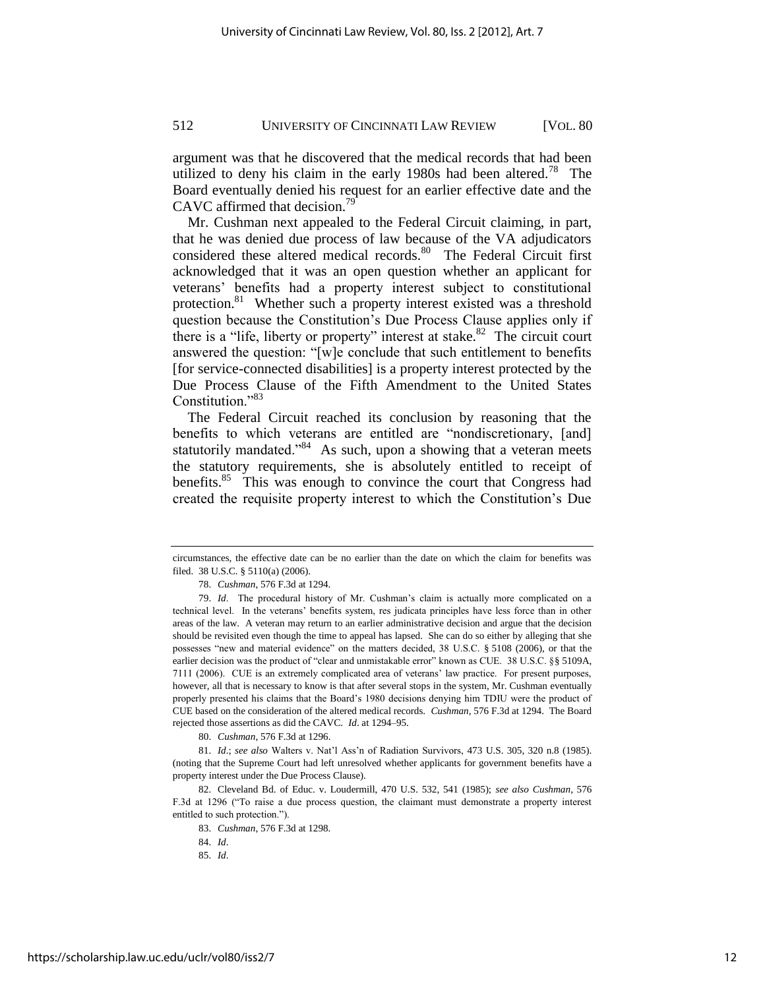argument was that he discovered that the medical records that had been utilized to deny his claim in the early 1980s had been altered.<sup>78</sup> The Board eventually denied his request for an earlier effective date and the CAVC affirmed that decision.<sup>79</sup>

Mr. Cushman next appealed to the Federal Circuit claiming, in part, that he was denied due process of law because of the VA adjudicators considered these altered medical records.<sup>80</sup> The Federal Circuit first acknowledged that it was an open question whether an applicant for veterans' benefits had a property interest subject to constitutional protection.<sup>81</sup> Whether such a property interest existed was a threshold question because the Constitution's Due Process Clause applies only if there is a "life, liberty or property" interest at stake. $82$  The circuit court answered the question: "[w]e conclude that such entitlement to benefits [for service-connected disabilities] is a property interest protected by the Due Process Clause of the Fifth Amendment to the United States Constitution."<sup>83</sup>

The Federal Circuit reached its conclusion by reasoning that the benefits to which veterans are entitled are "nondiscretionary, [and] statutorily mandated."<sup>84</sup> As such, upon a showing that a veteran meets the statutory requirements, she is absolutely entitled to receipt of benefits.<sup>85</sup> This was enough to convince the court that Congress had created the requisite property interest to which the Constitution's Due

80. *Cushman*, 576 F.3d at 1296.

81. *Id*.; *see also* Walters v. Nat'l Ass'n of Radiation Survivors, 473 U.S. 305, 320 n.8 (1985). (noting that the Supreme Court had left unresolved whether applicants for government benefits have a property interest under the Due Process Clause).

82. Cleveland Bd. of Educ. v. Loudermill, 470 U.S. 532, 541 (1985); *see also Cushman*, 576 F.3d at 1296 ("To raise a due process question, the claimant must demonstrate a property interest entitled to such protection.").

circumstances, the effective date can be no earlier than the date on which the claim for benefits was filed. 38 U.S.C. § 5110(a) (2006).

<sup>78.</sup> *Cushman*, 576 F.3d at 1294.

<sup>79.</sup> *Id*. The procedural history of Mr. Cushman's claim is actually more complicated on a technical level. In the veterans' benefits system, res judicata principles have less force than in other areas of the law. A veteran may return to an earlier administrative decision and argue that the decision should be revisited even though the time to appeal has lapsed. She can do so either by alleging that she possesses "new and material evidence" on the matters decided, 38 U.S.C. § 5108 (2006), or that the earlier decision was the product of "clear and unmistakable error" known as CUE. 38 U.S.C. §§ 5109A, 7111 (2006). CUE is an extremely complicated area of veterans' law practice. For present purposes, however, all that is necessary to know is that after several stops in the system, Mr. Cushman eventually properly presented his claims that the Board's 1980 decisions denying him TDIU were the product of CUE based on the consideration of the altered medical records. *Cushman*, 576 F.3d at 1294. The Board rejected those assertions as did the CAVC. *Id*. at 1294–95.

<sup>83.</sup> *Cushman*, 576 F.3d at 1298.

<sup>84.</sup> *Id*.

<sup>85.</sup> *Id*.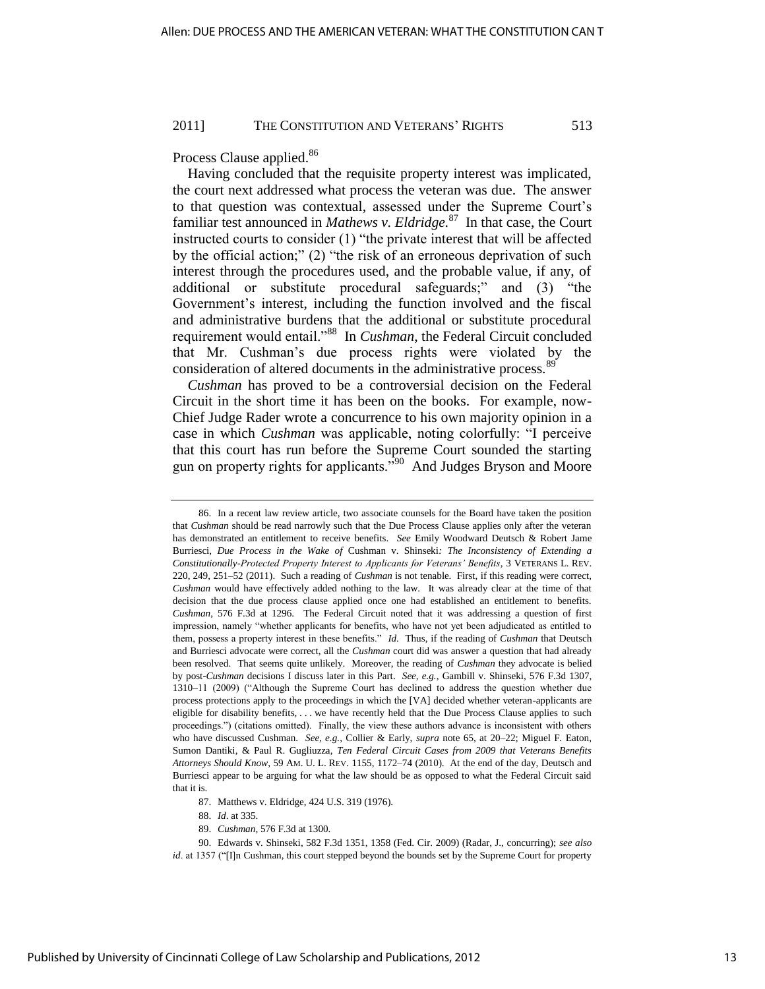Process Clause applied.<sup>86</sup>

Having concluded that the requisite property interest was implicated, the court next addressed what process the veteran was due. The answer to that question was contextual, assessed under the Supreme Court's familiar test announced in *Mathews v. Eldridge.*<sup>87</sup> In that case, the Court instructed courts to consider (1) "the private interest that will be affected by the official action;"  $(2)$  "the risk of an erroneous deprivation of such interest through the procedures used, and the probable value, if any, of additional or substitute procedural safeguards;" and (3) "the Government's interest, including the function involved and the fiscal and administrative burdens that the additional or substitute procedural requirement would entail."<sup>88</sup> In *Cushman*, the Federal Circuit concluded that Mr. Cushman's due process rights were violated by the consideration of altered documents in the administrative process.<sup>89</sup>

*Cushman* has proved to be a controversial decision on the Federal Circuit in the short time it has been on the books. For example, now-Chief Judge Rader wrote a concurrence to his own majority opinion in a case in which *Cushman* was applicable, noting colorfully: "I perceive that this court has run before the Supreme Court sounded the starting gun on property rights for applicants.<sup> $590$ </sup> And Judges Bryson and Moore

<sup>86.</sup> In a recent law review article, two associate counsels for the Board have taken the position that *Cushman* should be read narrowly such that the Due Process Clause applies only after the veteran has demonstrated an entitlement to receive benefits. *See* Emily Woodward Deutsch & Robert Jame Burriesci, *Due Process in the Wake of* Cushman v. Shinseki*: The Inconsistency of Extending a Constitutionally-Protected Property Interest to Applicants for Veterans' Benefits*, 3 VETERANS L. REV. 220, 249, 251–52 (2011). Such a reading of *Cushman* is not tenable. First, if this reading were correct, *Cushman* would have effectively added nothing to the law. It was already clear at the time of that decision that the due process clause applied once one had established an entitlement to benefits. *Cushman*, 576 F.3d at 1296. The Federal Circuit noted that it was addressing a question of first impression, namely "whether applicants for benefits, who have not yet been adjudicated as entitled to them, possess a property interest in these benefits." *Id*. Thus, if the reading of *Cushman* that Deutsch and Burriesci advocate were correct, all the *Cushman* court did was answer a question that had already been resolved. That seems quite unlikely. Moreover, the reading of *Cushman* they advocate is belied by post-*Cushman* decisions I discuss later in this Part. *See, e.g.*, Gambill v. Shinseki, 576 F.3d 1307, 1310–11 (2009) ("Although the Supreme Court has declined to address the question whether due process protections apply to the proceedings in which the [VA] decided whether veteran-applicants are eligible for disability benefits, . . . we have recently held that the Due Process Clause applies to such proceedings.‖) (citations omitted). Finally, the view these authors advance is inconsistent with others who have discussed Cushman. *See, e.g.*, Collier & Early, *supra* note 65, at 20–22; Miguel F. Eaton, Sumon Dantiki, & Paul R. Gugliuzza, *Ten Federal Circuit Cases from 2009 that Veterans Benefits Attorneys Should Know*, 59 AM. U. L. REV. 1155, 1172–74 (2010). At the end of the day, Deutsch and Burriesci appear to be arguing for what the law should be as opposed to what the Federal Circuit said that it is.

<sup>87.</sup> Matthews v. Eldridge, 424 U.S. 319 (1976).

<sup>88.</sup> *Id*. at 335.

<sup>89.</sup> *Cushman*, 576 F.3d at 1300.

<sup>90.</sup> Edwards v. Shinseki, 582 F.3d 1351, 1358 (Fed. Cir. 2009) (Radar, J., concurring); *see also id*. at 1357 ("[I]n Cushman, this court stepped beyond the bounds set by the Supreme Court for property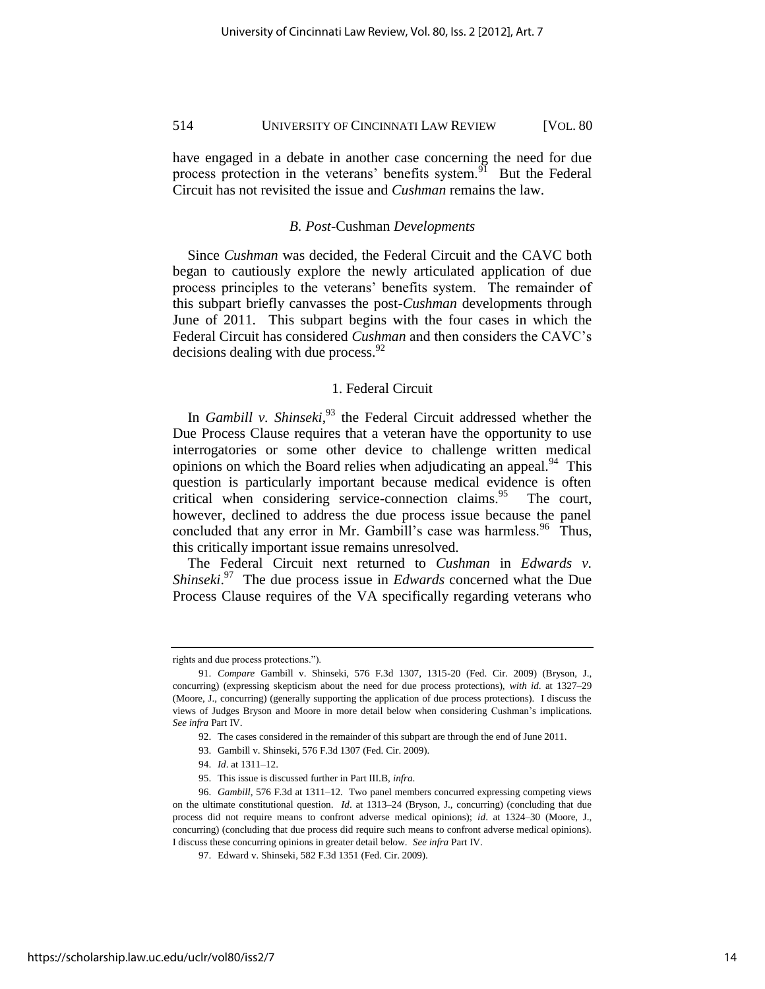have engaged in a debate in another case concerning the need for due process protection in the veterans' benefits system.<sup>91</sup> But the Federal Circuit has not revisited the issue and *Cushman* remains the law.

## *B. Post-*Cushman *Developments*

Since *Cushman* was decided, the Federal Circuit and the CAVC both began to cautiously explore the newly articulated application of due process principles to the veterans' benefits system. The remainder of this subpart briefly canvasses the post-*Cushman* developments through June of 2011. This subpart begins with the four cases in which the Federal Circuit has considered *Cushman* and then considers the CAVC's decisions dealing with due process.  $^{92}$ 

## 1. Federal Circuit

In *Gambill v. Shinseki*, <sup>93</sup> the Federal Circuit addressed whether the Due Process Clause requires that a veteran have the opportunity to use interrogatories or some other device to challenge written medical opinions on which the Board relies when adjudicating an appeal.<sup>94</sup> This question is particularly important because medical evidence is often critical when considering service-connection claims.<sup>95</sup> The court, however, declined to address the due process issue because the panel concluded that any error in Mr. Gambill's case was harmless.<sup>96</sup> Thus, this critically important issue remains unresolved.

The Federal Circuit next returned to *Cushman* in *Edwards v. Shinseki*. 97 The due process issue in *Edwards* concerned what the Due Process Clause requires of the VA specifically regarding veterans who

rights and due process protections.").

<sup>91.</sup> *Compare* Gambill v. Shinseki, 576 F.3d 1307, 1315-20 (Fed. Cir. 2009) (Bryson, J., concurring) (expressing skepticism about the need for due process protections), *with id*. at 1327–29 (Moore, J., concurring) (generally supporting the application of due process protections). I discuss the views of Judges Bryson and Moore in more detail below when considering Cushman's implications. *See infra* Part IV.

<sup>92.</sup> The cases considered in the remainder of this subpart are through the end of June 2011.

<sup>93.</sup> Gambill v. Shinseki, 576 F.3d 1307 (Fed. Cir. 2009).

<sup>94.</sup> *Id*. at 1311–12.

<sup>95.</sup> This issue is discussed further in Part III.B, *infra*.

<sup>96.</sup> *Gambill*, 576 F.3d at 1311–12. Two panel members concurred expressing competing views on the ultimate constitutional question. *Id*. at 1313–24 (Bryson, J., concurring) (concluding that due process did not require means to confront adverse medical opinions); *id*. at 1324–30 (Moore, J., concurring) (concluding that due process did require such means to confront adverse medical opinions). I discuss these concurring opinions in greater detail below. *See infra* Part IV.

<sup>97.</sup> Edward v. Shinseki, 582 F.3d 1351 (Fed. Cir. 2009).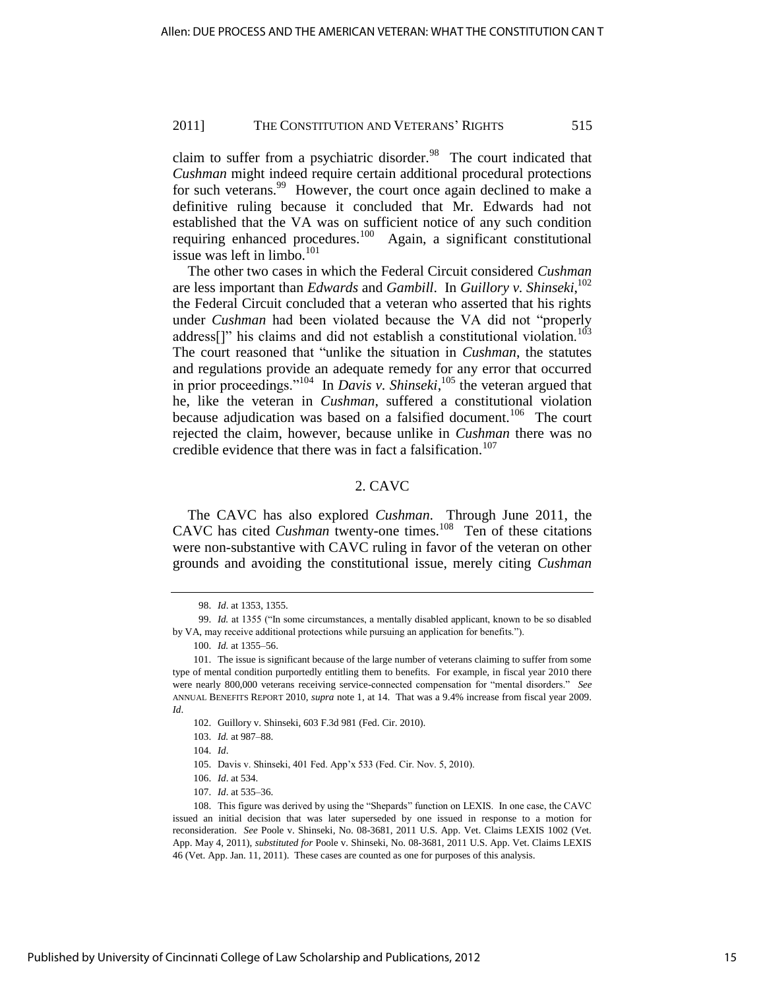claim to suffer from a psychiatric disorder. $98$  The court indicated that *Cushman* might indeed require certain additional procedural protections for such veterans.<sup>99</sup> However, the court once again declined to make a definitive ruling because it concluded that Mr. Edwards had not established that the VA was on sufficient notice of any such condition requiring enhanced procedures.<sup>100</sup> Again, a significant constitutional issue was left in limbo. $101$ 

The other two cases in which the Federal Circuit considered *Cushman* are less important than *Edwards* and *Gambill*. In *Guillory v. Shinseki*, 102 the Federal Circuit concluded that a veteran who asserted that his rights under *Cushman* had been violated because the VA did not "properly address[]" his claims and did not establish a constitutional violation.<sup>103</sup> The court reasoned that "unlike the situation in *Cushman*, the statutes and regulations provide an adequate remedy for any error that occurred in prior proceedings."<sup>104</sup> In *Davis v. Shinseki*,<sup>105</sup> the veteran argued that he, like the veteran in *Cushman*, suffered a constitutional violation because adjudication was based on a falsified document.<sup>106</sup> The court rejected the claim, however, because unlike in *Cushman* there was no credible evidence that there was in fact a falsification.<sup>107</sup>

## 2. CAVC

The CAVC has also explored *Cushman*. Through June 2011, the CAVC has cited *Cushman* twenty-one times.<sup>108</sup> Ten of these citations were non-substantive with CAVC ruling in favor of the veteran on other grounds and avoiding the constitutional issue, merely citing *Cushman*

<sup>98.</sup> *Id*. at 1353, 1355.

<sup>99.</sup> *Id.* at 1355 ("In some circumstances, a mentally disabled applicant, known to be so disabled by VA, may receive additional protections while pursuing an application for benefits.").

<sup>100.</sup> *Id.* at 1355–56.

<sup>101.</sup> The issue is significant because of the large number of veterans claiming to suffer from some type of mental condition purportedly entitling them to benefits. For example, in fiscal year 2010 there were nearly 800,000 veterans receiving service-connected compensation for "mental disorders." See ANNUAL BENEFITS REPORT 2010, *supra* note 1, at 14. That was a 9.4% increase from fiscal year 2009. *Id*.

<sup>102.</sup> Guillory v. Shinseki, 603 F.3d 981 (Fed. Cir. 2010).

<sup>103.</sup> *Id.* at 987–88.

<sup>104.</sup> *Id*.

<sup>105.</sup> Davis v. Shinseki, 401 Fed. App'x 533 (Fed. Cir. Nov. 5, 2010).

<sup>106.</sup> *Id*. at 534.

<sup>107.</sup> *Id*. at 535–36.

<sup>108.</sup> This figure was derived by using the "Shepards" function on LEXIS. In one case, the CAVC issued an initial decision that was later superseded by one issued in response to a motion for reconsideration. *See* Poole v. Shinseki, No. 08-3681, 2011 U.S. App. Vet. Claims LEXIS 1002 (Vet. App. May 4, 2011), *substituted for* Poole v. Shinseki, No. 08-3681, 2011 U.S. App. Vet. Claims LEXIS 46 (Vet. App. Jan. 11, 2011). These cases are counted as one for purposes of this analysis.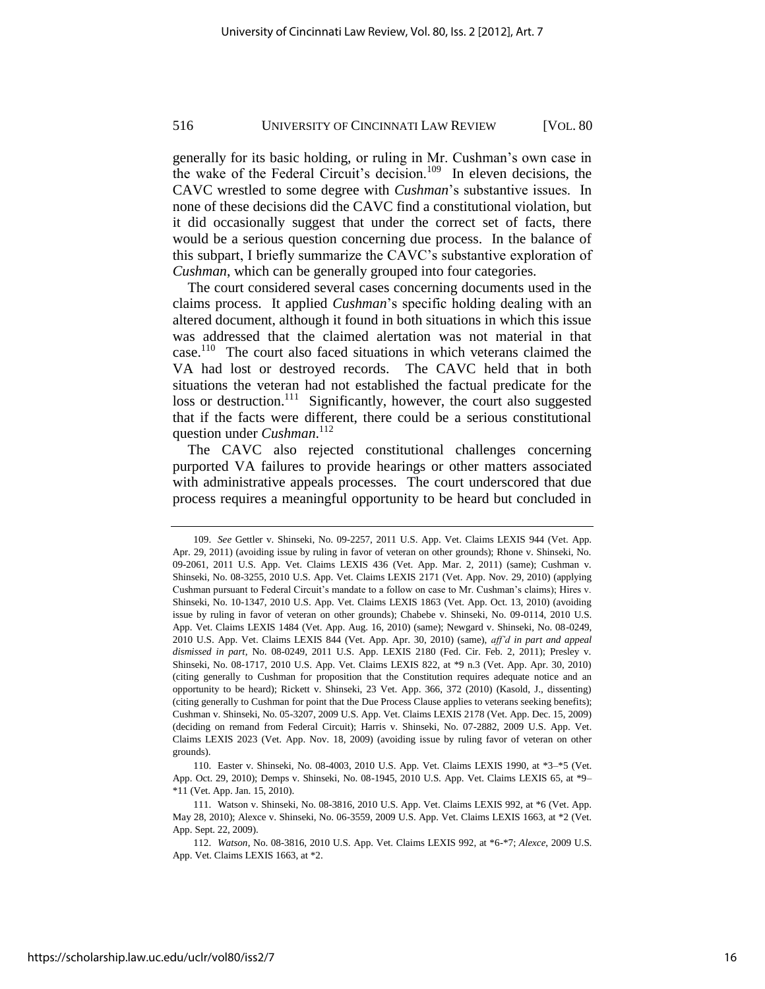generally for its basic holding, or ruling in Mr. Cushman's own case in the wake of the Federal Circuit's decision.<sup>109</sup> In eleven decisions, the CAVC wrestled to some degree with *Cushman*'s substantive issues. In none of these decisions did the CAVC find a constitutional violation, but it did occasionally suggest that under the correct set of facts, there would be a serious question concerning due process. In the balance of this subpart, I briefly summarize the CAVC's substantive exploration of *Cushman*, which can be generally grouped into four categories.

The court considered several cases concerning documents used in the claims process. It applied *Cushman*'s specific holding dealing with an altered document, although it found in both situations in which this issue was addressed that the claimed alertation was not material in that case.<sup>110</sup> The court also faced situations in which veterans claimed the VA had lost or destroyed records. The CAVC held that in both situations the veteran had not established the factual predicate for the loss or destruction.<sup>111</sup> Significantly, however, the court also suggested that if the facts were different, there could be a serious constitutional question under *Cushman*. 112

The CAVC also rejected constitutional challenges concerning purported VA failures to provide hearings or other matters associated with administrative appeals processes. The court underscored that due process requires a meaningful opportunity to be heard but concluded in

<sup>109.</sup> *See* Gettler v. Shinseki, No. 09-2257, 2011 U.S. App. Vet. Claims LEXIS 944 (Vet. App. Apr. 29, 2011) (avoiding issue by ruling in favor of veteran on other grounds); Rhone v. Shinseki, No. 09-2061, 2011 U.S. App. Vet. Claims LEXIS 436 (Vet. App. Mar. 2, 2011) (same); Cushman v. Shinseki, No. 08-3255, 2010 U.S. App. Vet. Claims LEXIS 2171 (Vet. App. Nov. 29, 2010) (applying Cushman pursuant to Federal Circuit's mandate to a follow on case to Mr. Cushman's claims); Hires v. Shinseki, No. 10-1347, 2010 U.S. App. Vet. Claims LEXIS 1863 (Vet. App. Oct. 13, 2010) (avoiding issue by ruling in favor of veteran on other grounds); Chabebe v. Shinseki, No. 09-0114, 2010 U.S. App. Vet. Claims LEXIS 1484 (Vet. App. Aug. 16, 2010) (same); Newgard v. Shinseki, No. 08-0249, 2010 U.S. App. Vet. Claims LEXIS 844 (Vet. App. Apr. 30, 2010) (same), *aff'd in part and appeal dismissed in part*, No. 08-0249, 2011 U.S. App. LEXIS 2180 (Fed. Cir. Feb. 2, 2011); Presley v. Shinseki, No. 08-1717, 2010 U.S. App. Vet. Claims LEXIS 822, at \*9 n.3 (Vet. App. Apr. 30, 2010) (citing generally to Cushman for proposition that the Constitution requires adequate notice and an opportunity to be heard); Rickett v. Shinseki, 23 Vet. App. 366, 372 (2010) (Kasold, J., dissenting) (citing generally to Cushman for point that the Due Process Clause applies to veterans seeking benefits); Cushman v. Shinseki, No. 05-3207, 2009 U.S. App. Vet. Claims LEXIS 2178 (Vet. App. Dec. 15, 2009) (deciding on remand from Federal Circuit); Harris v. Shinseki, No. 07-2882, 2009 U.S. App. Vet. Claims LEXIS 2023 (Vet. App. Nov. 18, 2009) (avoiding issue by ruling favor of veteran on other grounds).

<sup>110.</sup> Easter v. Shinseki, No. 08-4003, 2010 U.S. App. Vet. Claims LEXIS 1990, at \*3–\*5 (Vet. App. Oct. 29, 2010); Demps v. Shinseki, No. 08-1945, 2010 U.S. App. Vet. Claims LEXIS 65, at \*9– \*11 (Vet. App. Jan. 15, 2010).

<sup>111.</sup> Watson v. Shinseki, No. 08-3816, 2010 U.S. App. Vet. Claims LEXIS 992, at \*6 (Vet. App. May 28, 2010); Alexce v. Shinseki, No. 06-3559, 2009 U.S. App. Vet. Claims LEXIS 1663, at \*2 (Vet. App. Sept. 22, 2009).

<sup>112.</sup> *Watson*, No. 08-3816, 2010 U.S. App. Vet. Claims LEXIS 992, at \*6-\*7; *Alexce*, 2009 U.S. App. Vet. Claims LEXIS 1663, at \*2.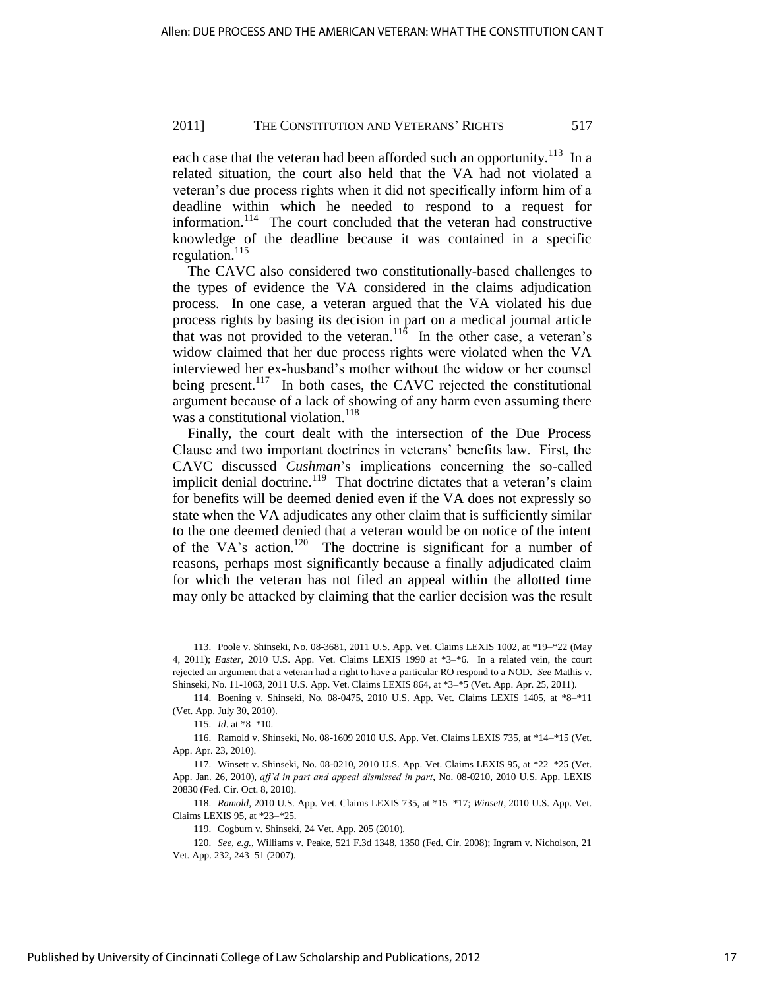each case that the veteran had been afforded such an opportunity.<sup>113</sup> In a related situation, the court also held that the VA had not violated a veteran's due process rights when it did not specifically inform him of a deadline within which he needed to respond to a request for information.<sup>114</sup> The court concluded that the veteran had constructive knowledge of the deadline because it was contained in a specific regulation. $^{115}$ 

The CAVC also considered two constitutionally-based challenges to the types of evidence the VA considered in the claims adjudication process. In one case, a veteran argued that the VA violated his due process rights by basing its decision in part on a medical journal article that was not provided to the veteran.<sup>116</sup> In the other case, a veteran's widow claimed that her due process rights were violated when the VA interviewed her ex-husband's mother without the widow or her counsel being present.<sup>117</sup> In both cases, the CAVC rejected the constitutional argument because of a lack of showing of any harm even assuming there was a constitutional violation.<sup>118</sup>

Finally, the court dealt with the intersection of the Due Process Clause and two important doctrines in veterans' benefits law. First, the CAVC discussed *Cushman*'s implications concerning the so-called implicit denial doctrine.<sup>119</sup> That doctrine dictates that a veteran's claim for benefits will be deemed denied even if the VA does not expressly so state when the VA adjudicates any other claim that is sufficiently similar to the one deemed denied that a veteran would be on notice of the intent of the VA's action.<sup>120</sup> The doctrine is significant for a number of reasons, perhaps most significantly because a finally adjudicated claim for which the veteran has not filed an appeal within the allotted time may only be attacked by claiming that the earlier decision was the result

<sup>113.</sup> Poole v. Shinseki, No. 08-3681, 2011 U.S. App. Vet. Claims LEXIS 1002, at \*19–\*22 (May 4, 2011); *Easter*, 2010 U.S. App. Vet. Claims LEXIS 1990 at \*3–\*6. In a related vein, the court rejected an argument that a veteran had a right to have a particular RO respond to a NOD. *See* Mathis v. Shinseki, No. 11-1063, 2011 U.S. App. Vet. Claims LEXIS 864, at \*3–\*5 (Vet. App. Apr. 25, 2011).

<sup>114.</sup> Boening v. Shinseki, No. 08-0475, 2010 U.S. App. Vet. Claims LEXIS 1405, at \*8–\*11 (Vet. App. July 30, 2010).

<sup>115.</sup> *Id*. at \*8–\*10.

<sup>116.</sup> Ramold v. Shinseki, No. 08-1609 2010 U.S. App. Vet. Claims LEXIS 735, at \*14–\*15 (Vet. App. Apr. 23, 2010).

<sup>117.</sup> Winsett v. Shinseki, No. 08-0210, 2010 U.S. App. Vet. Claims LEXIS 95, at \*22–\*25 (Vet. App. Jan. 26, 2010), *aff'd in part and appeal dismissed in part*, No. 08-0210, 2010 U.S. App. LEXIS 20830 (Fed. Cir. Oct. 8, 2010).

<sup>118.</sup> *Ramold*, 2010 U.S. App. Vet. Claims LEXIS 735, at \*15–\*17; *Winsett*, 2010 U.S. App. Vet. Claims LEXIS 95, at \*23–\*25.

<sup>119.</sup> Cogburn v. Shinseki, 24 Vet. App. 205 (2010).

<sup>120.</sup> *See, e.g.*, Williams v. Peake, 521 F.3d 1348, 1350 (Fed. Cir. 2008); Ingram v. Nicholson, 21 Vet. App. 232, 243–51 (2007).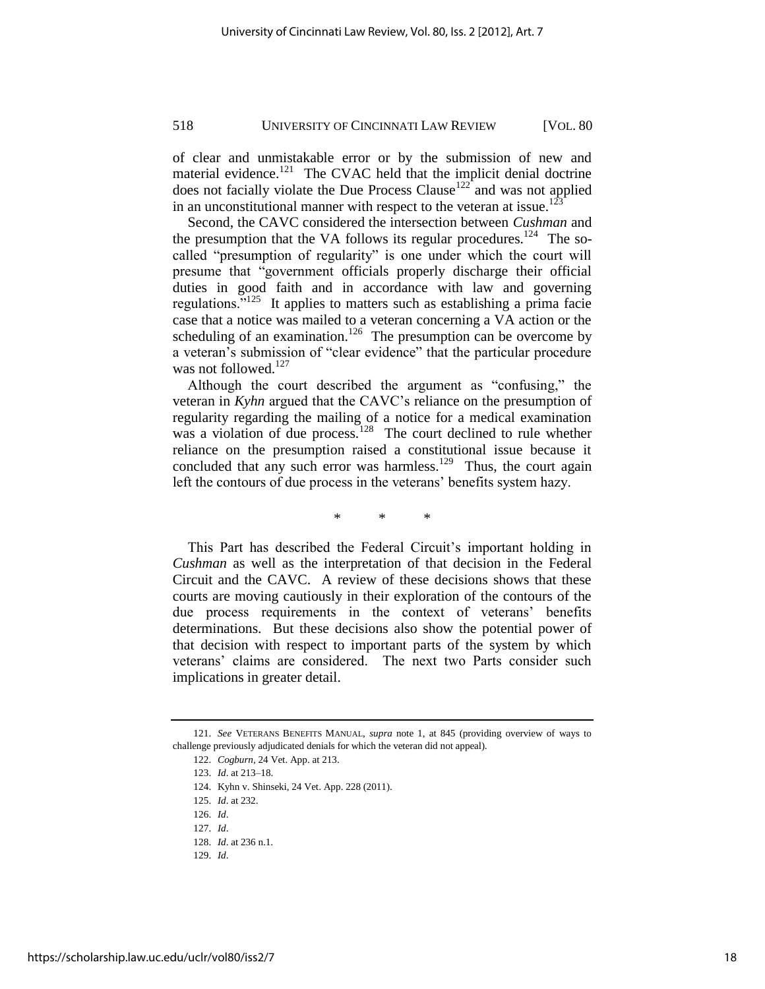of clear and unmistakable error or by the submission of new and material evidence.<sup>121</sup> The CVAC held that the implicit denial doctrine does not facially violate the Due Process Clause<sup>122</sup> and was not applied in an unconstitutional manner with respect to the veteran at issue.<sup>123</sup>

Second, the CAVC considered the intersection between *Cushman* and the presumption that the VA follows its regular procedures.<sup>124</sup> The socalled "presumption of regularity" is one under which the court will presume that "government officials properly discharge their official duties in good faith and in accordance with law and governing regulations.<sup>5125</sup> It applies to matters such as establishing a prima facie case that a notice was mailed to a veteran concerning a VA action or the scheduling of an examination.<sup>126</sup> The presumption can be overcome by a veteran's submission of "clear evidence" that the particular procedure was not followed. $127$ 

Although the court described the argument as "confusing," the veteran in *Kyhn* argued that the CAVC's reliance on the presumption of regularity regarding the mailing of a notice for a medical examination was a violation of due process.<sup>128</sup> The court declined to rule whether reliance on the presumption raised a constitutional issue because it concluded that any such error was harmless.<sup>129</sup> Thus, the court again left the contours of due process in the veterans' benefits system hazy.

\* \* \*

This Part has described the Federal Circuit's important holding in *Cushman* as well as the interpretation of that decision in the Federal Circuit and the CAVC. A review of these decisions shows that these courts are moving cautiously in their exploration of the contours of the due process requirements in the context of veterans' benefits determinations. But these decisions also show the potential power of that decision with respect to important parts of the system by which veterans' claims are considered. The next two Parts consider such implications in greater detail.

<sup>121.</sup> *See* VETERANS BENEFITS MANUAL, *supra* note 1, at 845 (providing overview of ways to challenge previously adjudicated denials for which the veteran did not appeal).

<sup>122.</sup> *Cogburn*, 24 Vet. App. at 213.

<sup>123.</sup> *Id*. at 213–18.

<sup>124.</sup> Kyhn v. Shinseki, 24 Vet. App. 228 (2011).

<sup>125.</sup> *Id*. at 232.

<sup>126.</sup> *Id*.

<sup>127.</sup> *Id*.

<sup>128.</sup> *Id*. at 236 n.1.

<sup>129.</sup> *Id*.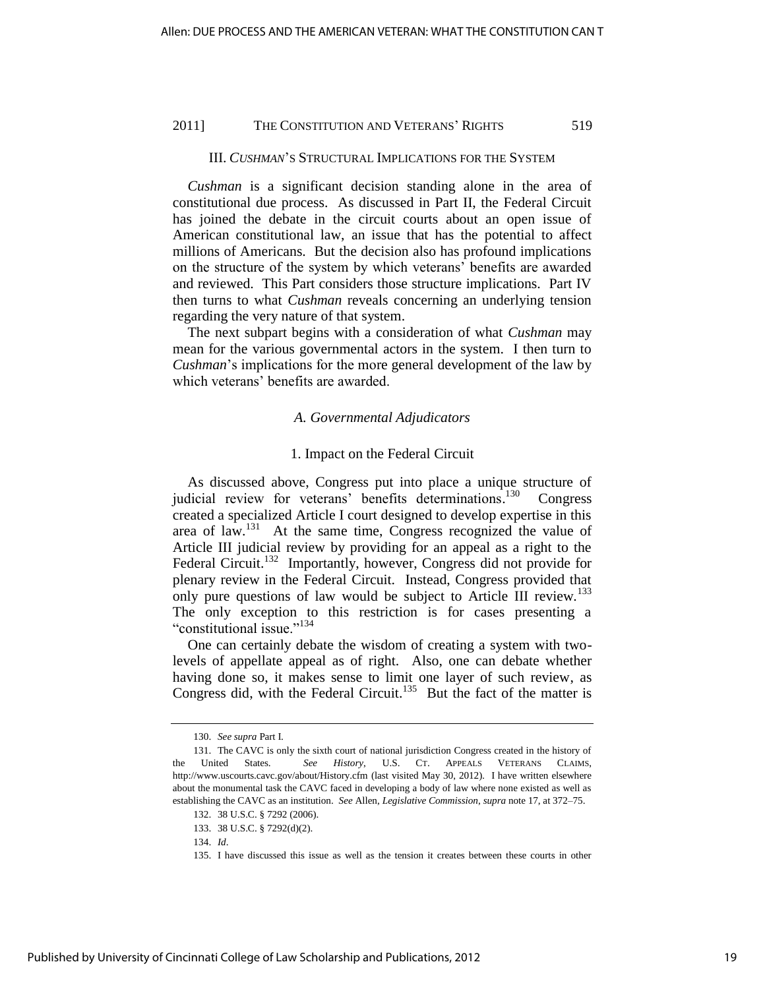#### III. *CUSHMAN*'S STRUCTURAL IMPLICATIONS FOR THE SYSTEM

*Cushman* is a significant decision standing alone in the area of constitutional due process. As discussed in Part II, the Federal Circuit has joined the debate in the circuit courts about an open issue of American constitutional law, an issue that has the potential to affect millions of Americans. But the decision also has profound implications on the structure of the system by which veterans' benefits are awarded and reviewed. This Part considers those structure implications. Part IV then turns to what *Cushman* reveals concerning an underlying tension regarding the very nature of that system.

The next subpart begins with a consideration of what *Cushman* may mean for the various governmental actors in the system. I then turn to *Cushman*'s implications for the more general development of the law by which veterans' benefits are awarded.

## *A. Governmental Adjudicators*

#### 1. Impact on the Federal Circuit

As discussed above, Congress put into place a unique structure of judicial review for veterans' benefits determinations.<sup>130</sup> Congress created a specialized Article I court designed to develop expertise in this area of law.<sup>131</sup> At the same time, Congress recognized the value of Article III judicial review by providing for an appeal as a right to the Federal Circuit.<sup>132</sup> Importantly, however, Congress did not provide for plenary review in the Federal Circuit. Instead, Congress provided that only pure questions of law would be subject to Article III review.<sup>133</sup> The only exception to this restriction is for cases presenting a "constitutional issue."<sup>134</sup>

One can certainly debate the wisdom of creating a system with twolevels of appellate appeal as of right. Also, one can debate whether having done so, it makes sense to limit one layer of such review, as Congress did, with the Federal Circuit.<sup>135</sup> But the fact of the matter is

134. *Id*.

<sup>130.</sup> *See supra* Part I.

<sup>131.</sup> The CAVC is only the sixth court of national jurisdiction Congress created in the history of the United States. *See History*, U.S. CT. APPEALS VETERANS CLAIMS, <http://www.uscourts.cavc.gov/about/History.cfm>(last visited May 30, 2012)*.* I have written elsewhere about the monumental task the CAVC faced in developing a body of law where none existed as well as establishing the CAVC as an institution. *See* Allen, *Legislative Commission*, *supra* note 17, at 372–75.

<sup>132. 38</sup> U.S.C. § 7292 (2006).

<sup>133. 38</sup> U.S.C. § 7292(d)(2).

<sup>135.</sup> I have discussed this issue as well as the tension it creates between these courts in other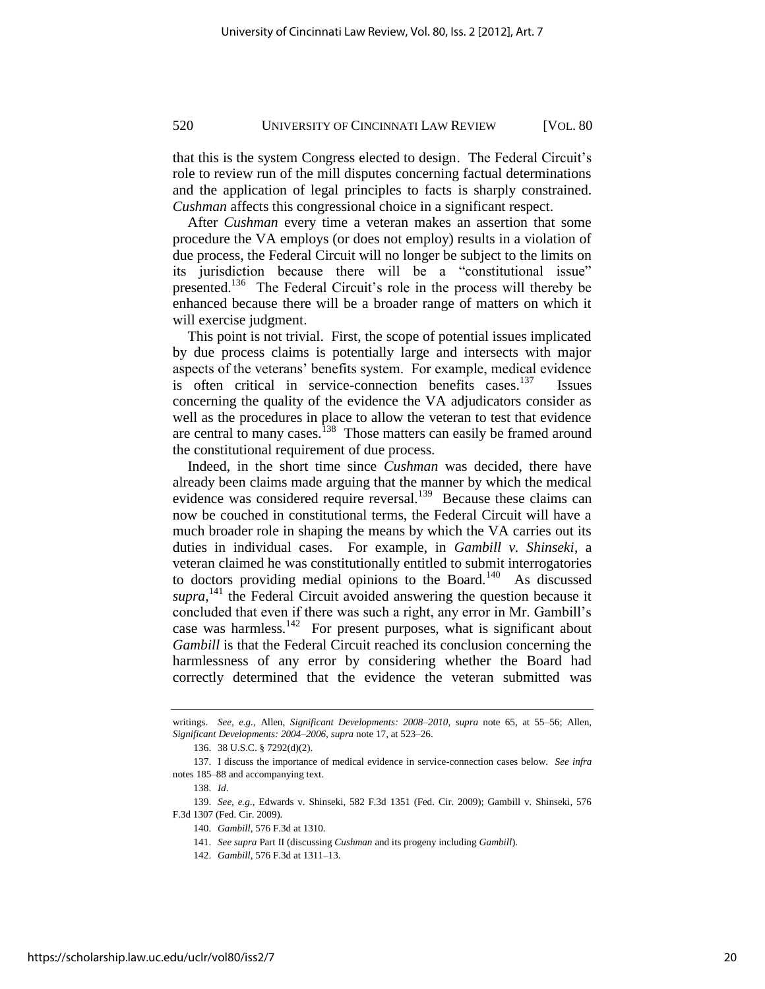that this is the system Congress elected to design. The Federal Circuit's role to review run of the mill disputes concerning factual determinations and the application of legal principles to facts is sharply constrained. *Cushman* affects this congressional choice in a significant respect.

After *Cushman* every time a veteran makes an assertion that some procedure the VA employs (or does not employ) results in a violation of due process, the Federal Circuit will no longer be subject to the limits on its jurisdiction because there will be a "constitutional issue" presented.<sup>136</sup> The Federal Circuit's role in the process will thereby be enhanced because there will be a broader range of matters on which it will exercise judgment.

This point is not trivial. First, the scope of potential issues implicated by due process claims is potentially large and intersects with major aspects of the veterans' benefits system. For example, medical evidence is often critical in service-connection benefits cases.<sup>137</sup> Issues concerning the quality of the evidence the VA adjudicators consider as well as the procedures in place to allow the veteran to test that evidence are central to many cases.<sup>138</sup> Those matters can easily be framed around the constitutional requirement of due process.

Indeed, in the short time since *Cushman* was decided, there have already been claims made arguing that the manner by which the medical evidence was considered require reversal.<sup>139</sup> Because these claims can now be couched in constitutional terms, the Federal Circuit will have a much broader role in shaping the means by which the VA carries out its duties in individual cases. For example, in *Gambill v. Shinseki*, a veteran claimed he was constitutionally entitled to submit interrogatories to doctors providing medial opinions to the Board.<sup>140</sup> As discussed supra,<sup>141</sup> the Federal Circuit avoided answering the question because it concluded that even if there was such a right, any error in Mr. Gambill's case was harmless.<sup>142</sup> For present purposes, what is significant about *Gambill* is that the Federal Circuit reached its conclusion concerning the harmlessness of any error by considering whether the Board had correctly determined that the evidence the veteran submitted was

writings. *See, e.g.*, Allen, *Significant Developments: 2008–2010*, *supra* note 65, at 55–56; Allen, *Significant Developments: 2004–2006*, *supra* note 17, at 523–26.

<sup>136. 38</sup> U.S.C. § 7292(d)(2).

<sup>137.</sup> I discuss the importance of medical evidence in service-connection cases below. *See infra*  notes 185–88 and accompanying text.

<sup>138.</sup> *Id*.

<sup>139.</sup> *See, e.g*., Edwards v. Shinseki, 582 F.3d 1351 (Fed. Cir. 2009); Gambill v. Shinseki, 576 F.3d 1307 (Fed. Cir. 2009).

<sup>140.</sup> *Gambill*, 576 F.3d at 1310.

<sup>141.</sup> *See supra* Part II (discussing *Cushman* and its progeny including *Gambill*).

<sup>142.</sup> *Gambill*, 576 F.3d at 1311–13.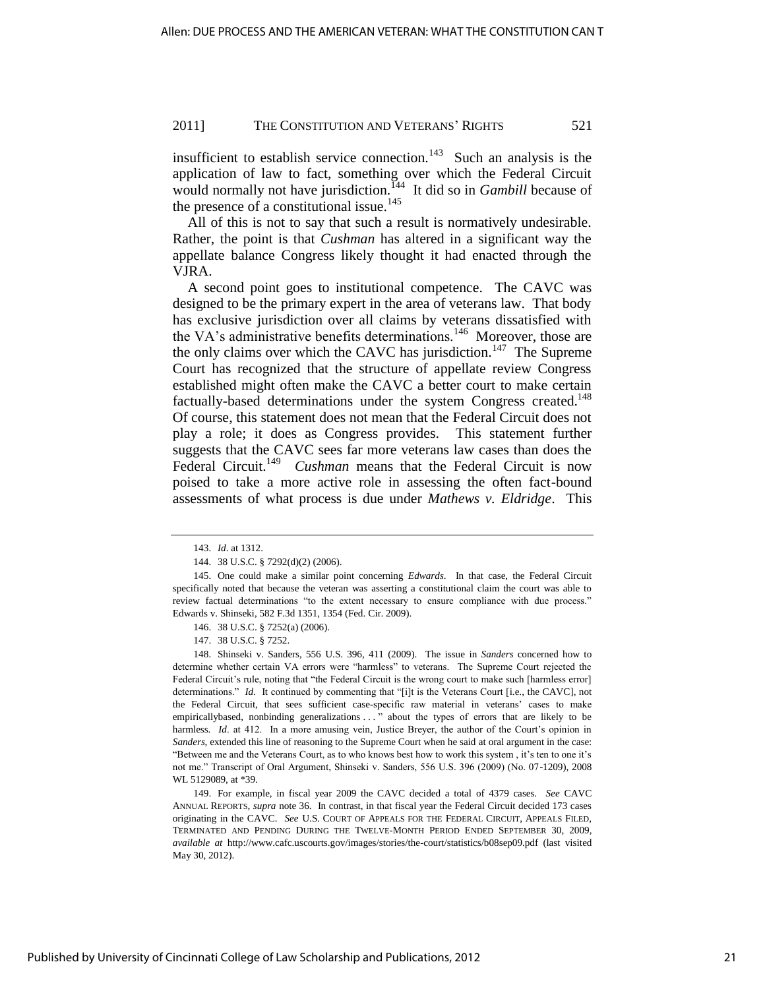insufficient to establish service connection.<sup>143</sup> Such an analysis is the application of law to fact, something over which the Federal Circuit would normally not have jurisdiction.<sup>144</sup> It did so in *Gambill* because of the presence of a constitutional issue.<sup>145</sup>

All of this is not to say that such a result is normatively undesirable. Rather, the point is that *Cushman* has altered in a significant way the appellate balance Congress likely thought it had enacted through the VJRA.

A second point goes to institutional competence. The CAVC was designed to be the primary expert in the area of veterans law. That body has exclusive jurisdiction over all claims by veterans dissatisfied with the VA's administrative benefits determinations.<sup>146</sup> Moreover, those are the only claims over which the CAVC has jurisdiction.<sup>147</sup> The Supreme Court has recognized that the structure of appellate review Congress established might often make the CAVC a better court to make certain factually-based determinations under the system Congress created.<sup>148</sup> Of course, this statement does not mean that the Federal Circuit does not play a role; it does as Congress provides. This statement further suggests that the CAVC sees far more veterans law cases than does the Federal Circuit.<sup>149</sup> *Cushman* means that the Federal Circuit is now poised to take a more active role in assessing the often fact-bound assessments of what process is due under *Mathews v. Eldridge*. This

148. Shinseki v. Sanders, 556 U.S. 396, 411 (2009). The issue in *Sanders* concerned how to determine whether certain VA errors were "harmless" to veterans. The Supreme Court rejected the Federal Circuit's rule, noting that "the Federal Circuit is the wrong court to make such [harmless error] determinations." *Id.* It continued by commenting that "[i]t is the Veterans Court [i.e., the CAVC], not the Federal Circuit, that sees sufficient case-specific raw material in veterans' cases to make empiricallybased, nonbinding generalizations . . . " about the types of errors that are likely to be harmless. *Id.* at 412. In a more amusing vein, Justice Breyer, the author of the Court's opinion in *Sanders*, extended this line of reasoning to the Supreme Court when he said at oral argument in the case: ―Between me and the Veterans Court, as to who knows best how to work this system , it's ten to one it's not me." Transcript of Oral Argument, Shinseki v. Sanders, 556 U.S. 396 (2009) (No. 07-1209), 2008 WL 5129089, at \*39.

149. For example, in fiscal year 2009 the CAVC decided a total of 4379 cases. *See* CAVC ANNUAL REPORTS, *supra* note 36. In contrast, in that fiscal year the Federal Circuit decided 173 cases originating in the CAVC. *See* U.S. COURT OF APPEALS FOR THE FEDERAL CIRCUIT, APPEALS FILED, TERMINATED AND PENDING DURING THE TWELVE-MONTH PERIOD ENDED SEPTEMBER 30, 2009, *available at* <http://www.cafc.uscourts.gov/images/stories/the-court/statistics/b08sep09.pdf>(last visited May 30, 2012).

<sup>143.</sup> *Id*. at 1312.

<sup>144. 38</sup> U.S.C. § 7292(d)(2) (2006).

<sup>145.</sup> One could make a similar point concerning *Edwards*. In that case, the Federal Circuit specifically noted that because the veteran was asserting a constitutional claim the court was able to review factual determinations "to the extent necessary to ensure compliance with due process." Edwards v. Shinseki, 582 F.3d 1351, 1354 (Fed. Cir. 2009).

<sup>146. 38</sup> U.S.C. § 7252(a) (2006).

<sup>147. 38</sup> U.S.C. § 7252.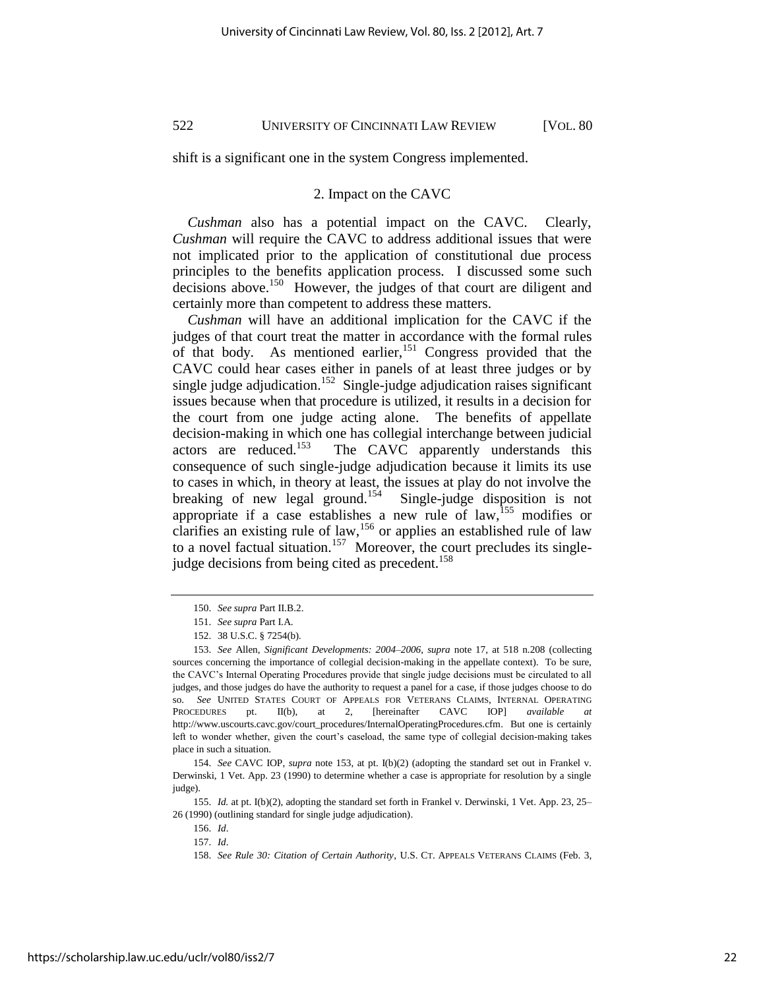shift is a significant one in the system Congress implemented.

#### 2. Impact on the CAVC

*Cushman* also has a potential impact on the CAVC. Clearly, *Cushman* will require the CAVC to address additional issues that were not implicated prior to the application of constitutional due process principles to the benefits application process. I discussed some such decisions above.<sup>150</sup> However, the judges of that court are diligent and certainly more than competent to address these matters.

*Cushman* will have an additional implication for the CAVC if the judges of that court treat the matter in accordance with the formal rules of that body. As mentioned earlier,  $151$  Congress provided that the CAVC could hear cases either in panels of at least three judges or by single judge adjudication.<sup>152</sup> Single-judge adjudication raises significant issues because when that procedure is utilized, it results in a decision for the court from one judge acting alone. The benefits of appellate decision-making in which one has collegial interchange between judicial actors are reduced.<sup>153</sup> The CAVC apparently understands this consequence of such single-judge adjudication because it limits its use to cases in which, in theory at least, the issues at play do not involve the breaking of new legal ground.<sup>154</sup> Single-judge disposition is not appropriate if a case establishes a new rule of law,  $155$  modifies or clarifies an existing rule of law,<sup>156</sup> or applies an established rule of law to a novel factual situation.<sup>157</sup> Moreover, the court precludes its singlejudge decisions from being cited as precedent.<sup>158</sup>

155. *Id.* at pt. I(b)(2), adopting the standard set forth in Frankel v. Derwinski, 1 Vet. App. 23, 25– 26 (1990) (outlining standard for single judge adjudication).

<sup>150.</sup> *See supra* Part II.B.2.

<sup>151.</sup> *See supra* Part I.A.

<sup>152. 38</sup> U.S.C. § 7254(b).

<sup>153.</sup> *See* Allen, *Significant Developments: 2004–2006*, *supra* note 17, at 518 n.208 (collecting sources concerning the importance of collegial decision-making in the appellate context). To be sure, the CAVC's Internal Operating Procedures provide that single judge decisions must be circulated to all judges, and those judges do have the authority to request a panel for a case, if those judges choose to do so. *See* UNITED STATES COURT OF APPEALS FOR VETERANS CLAIMS, INTERNAL OPERATING PROCEDURES pt. II(b), at 2, [hereinafter CAVC IOP] *available at* [http://www.uscourts.cavc.gov/court\\_procedures/InternalOperatingProcedures.cfm.](http://www.uscourts.cavc.gov/court_procedures/InternalOperatingProcedures.cfm) But one is certainly left to wonder whether, given the court's caseload, the same type of collegial decision-making takes place in such a situation.

<sup>154.</sup> *See* CAVC IOP, *supra* note 153, at pt. I(b)(2) (adopting the standard set out in Frankel v. Derwinski, 1 Vet. App. 23 (1990) to determine whether a case is appropriate for resolution by a single judge).

<sup>156.</sup> *Id*.

<sup>157.</sup> *Id*.

<sup>158.</sup> *See Rule 30: Citation of Certain Authority*, U.S. CT. APPEALS VETERANS CLAIMS (Feb. 3,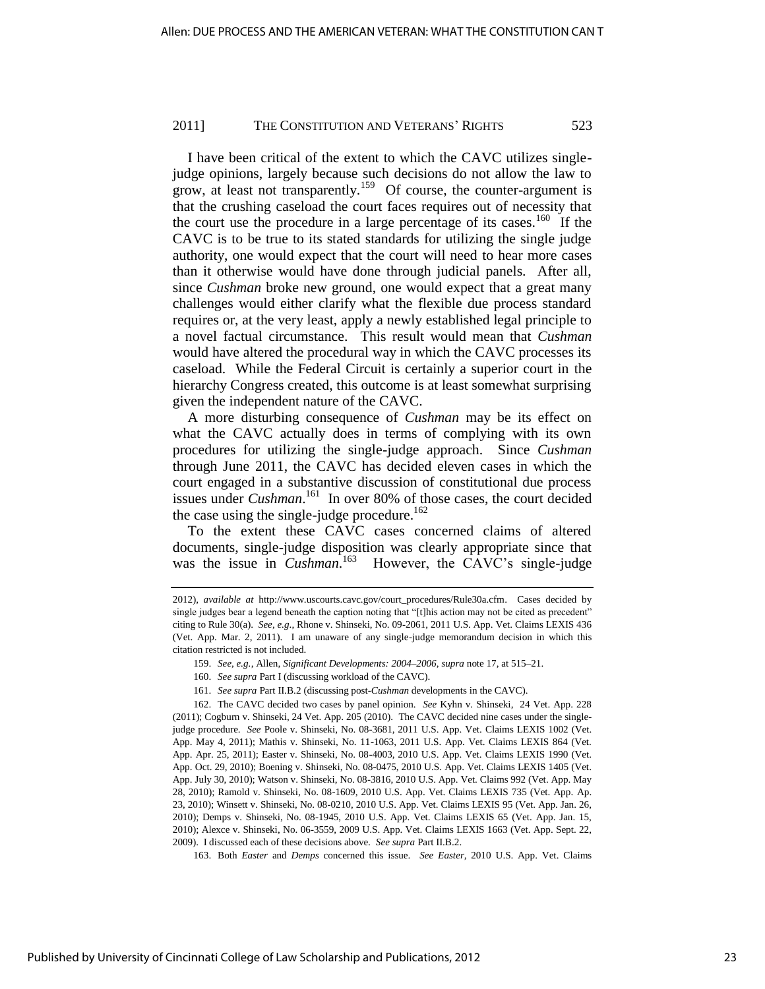I have been critical of the extent to which the CAVC utilizes singlejudge opinions, largely because such decisions do not allow the law to grow, at least not transparently.<sup>159</sup> Of course, the counter-argument is that the crushing caseload the court faces requires out of necessity that the court use the procedure in a large percentage of its cases.<sup>160</sup> If the CAVC is to be true to its stated standards for utilizing the single judge authority, one would expect that the court will need to hear more cases than it otherwise would have done through judicial panels. After all, since *Cushman* broke new ground, one would expect that a great many challenges would either clarify what the flexible due process standard requires or, at the very least, apply a newly established legal principle to a novel factual circumstance. This result would mean that *Cushman* would have altered the procedural way in which the CAVC processes its caseload. While the Federal Circuit is certainly a superior court in the hierarchy Congress created, this outcome is at least somewhat surprising given the independent nature of the CAVC.

A more disturbing consequence of *Cushman* may be its effect on what the CAVC actually does in terms of complying with its own procedures for utilizing the single-judge approach. Since *Cushman* through June 2011, the CAVC has decided eleven cases in which the court engaged in a substantive discussion of constitutional due process issues under *Cushman*.<sup>161</sup> In over 80% of those cases, the court decided the case using the single-judge procedure.<sup>162</sup>

To the extent these CAVC cases concerned claims of altered documents, single-judge disposition was clearly appropriate since that was the issue in *Cushman*.<sup>163</sup> However, the CAVC's single-judge

- 160. *See supra* Part I (discussing workload of the CAVC).
- 161. *See supra* Part II.B.2 (discussing post-*Cushman* developments in the CAVC).

163. Both *Easter* and *Demps* concerned this issue. *See Easter*, 2010 U.S. App. Vet. Claims

<sup>2012),</sup> *available at* [http://www.uscourts.cavc.gov/court\\_procedures/Rule30a.cfm.](http://www.uscourts.cavc.gov/court_procedures/Rule30a.cfm) Cases decided by single judges bear a legend beneath the caption noting that "[t]his action may not be cited as precedent" citing to Rule 30(a). *See, e.g*., Rhone v. Shinseki, No. 09-2061, 2011 U.S. App. Vet. Claims LEXIS 436 (Vet. App. Mar. 2, 2011). I am unaware of any single-judge memorandum decision in which this citation restricted is not included.

<sup>159.</sup> *See, e.g.*, Allen, *Significant Developments: 2004–2006*, *supra* note 17, at 515–21.

<sup>162.</sup> The CAVC decided two cases by panel opinion. *See* Kyhn v. Shinseki, 24 Vet. App. 228 (2011); Cogburn v. Shinseki, 24 Vet. App. 205 (2010). The CAVC decided nine cases under the singlejudge procedure. *See* Poole v. Shinseki, No. 08-3681, 2011 U.S. App. Vet. Claims LEXIS 1002 (Vet. App. May 4, 2011); Mathis v. Shinseki, No. 11-1063, 2011 U.S. App. Vet. Claims LEXIS 864 (Vet. App. Apr. 25, 2011); Easter v. Shinseki, No. 08-4003, 2010 U.S. App. Vet. Claims LEXIS 1990 (Vet. App. Oct. 29, 2010); Boening v. Shinseki, No. 08-0475, 2010 U.S. App. Vet. Claims LEXIS 1405 (Vet. App. July 30, 2010); Watson v. Shinseki, No. 08-3816, 2010 U.S. App. Vet. Claims 992 (Vet. App. May 28, 2010); Ramold v. Shinseki, No. 08-1609, 2010 U.S. App. Vet. Claims LEXIS 735 (Vet. App. Ap. 23, 2010); Winsett v. Shinseki, No. 08-0210, 2010 U.S. App. Vet. Claims LEXIS 95 (Vet. App. Jan. 26, 2010); Demps v. Shinseki, No. 08-1945, 2010 U.S. App. Vet. Claims LEXIS 65 (Vet. App. Jan. 15, 2010); Alexce v. Shinseki, No. 06-3559, 2009 U.S. App. Vet. Claims LEXIS 1663 (Vet. App. Sept. 22, 2009). I discussed each of these decisions above. *See supra* Part II.B.2.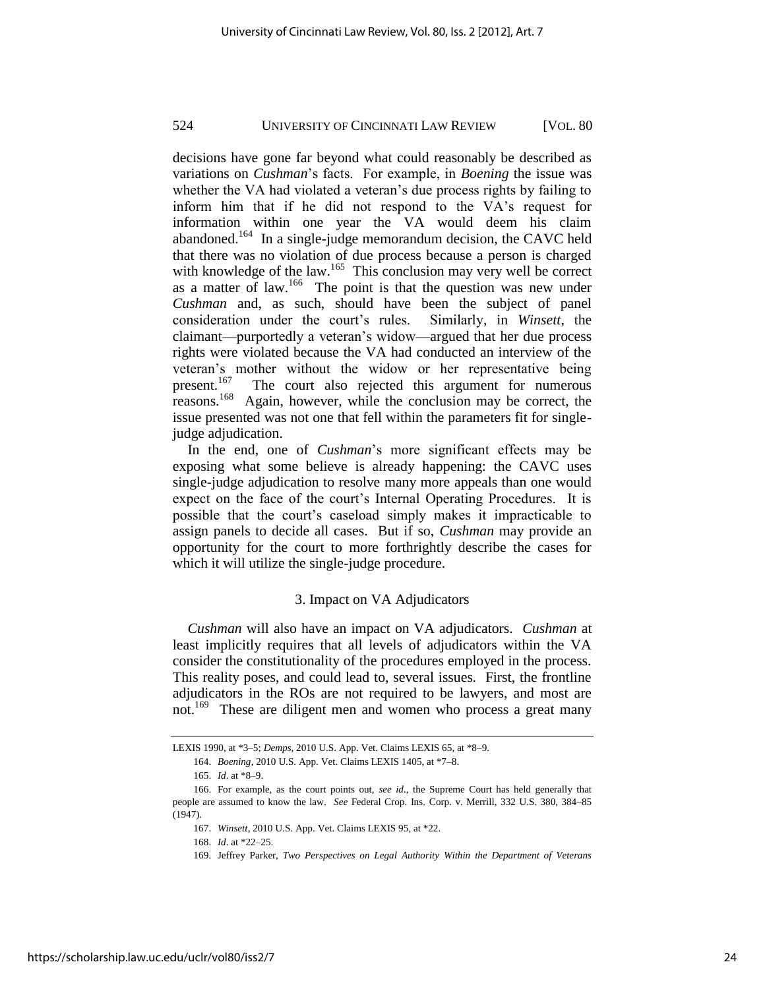decisions have gone far beyond what could reasonably be described as variations on *Cushman*'s facts. For example, in *Boening* the issue was whether the VA had violated a veteran's due process rights by failing to inform him that if he did not respond to the VA's request for information within one year the VA would deem his claim abandoned.<sup>164</sup> In a single-judge memorandum decision, the CAVC held that there was no violation of due process because a person is charged with knowledge of the law.<sup>165</sup> This conclusion may very well be correct as a matter of law.<sup>166</sup> The point is that the question was new under *Cushman* and, as such, should have been the subject of panel consideration under the court's rules. Similarly, in *Winsett*, the claimant—purportedly a veteran's widow—argued that her due process rights were violated because the VA had conducted an interview of the veteran's mother without the widow or her representative being present.<sup>167</sup> The court also rejected this argument for numerous reasons.<sup>168</sup> Again, however, while the conclusion may be correct, the issue presented was not one that fell within the parameters fit for singlejudge adjudication.

In the end, one of *Cushman*'s more significant effects may be exposing what some believe is already happening: the CAVC uses single-judge adjudication to resolve many more appeals than one would expect on the face of the court's Internal Operating Procedures. It is possible that the court's caseload simply makes it impracticable to assign panels to decide all cases. But if so, *Cushman* may provide an opportunity for the court to more forthrightly describe the cases for which it will utilize the single-judge procedure.

## 3. Impact on VA Adjudicators

*Cushman* will also have an impact on VA adjudicators. *Cushman* at least implicitly requires that all levels of adjudicators within the VA consider the constitutionality of the procedures employed in the process. This reality poses, and could lead to, several issues. First, the frontline adjudicators in the ROs are not required to be lawyers, and most are not.<sup>169</sup> These are diligent men and women who process a great many

LEXIS 1990, at \*3–5; *Demps*, 2010 U.S. App. Vet. Claims LEXIS 65, at \*8–9.

<sup>164.</sup> *Boening*, 2010 U.S. App. Vet. Claims LEXIS 1405, at \*7–8.

<sup>165.</sup> *Id*. at \*8–9.

<sup>166.</sup> For example, as the court points out, *see id*., the Supreme Court has held generally that people are assumed to know the law. *See* Federal Crop. Ins. Corp. v. Merrill, 332 U.S. 380, 384–85 (1947).

<sup>167.</sup> *Winsett*, 2010 U.S. App. Vet. Claims LEXIS 95, at \*22.

<sup>168.</sup> *Id*. at \*22–25.

<sup>169.</sup> Jeffrey Parker, *Two Perspectives on Legal Authority Within the Department of Veterans*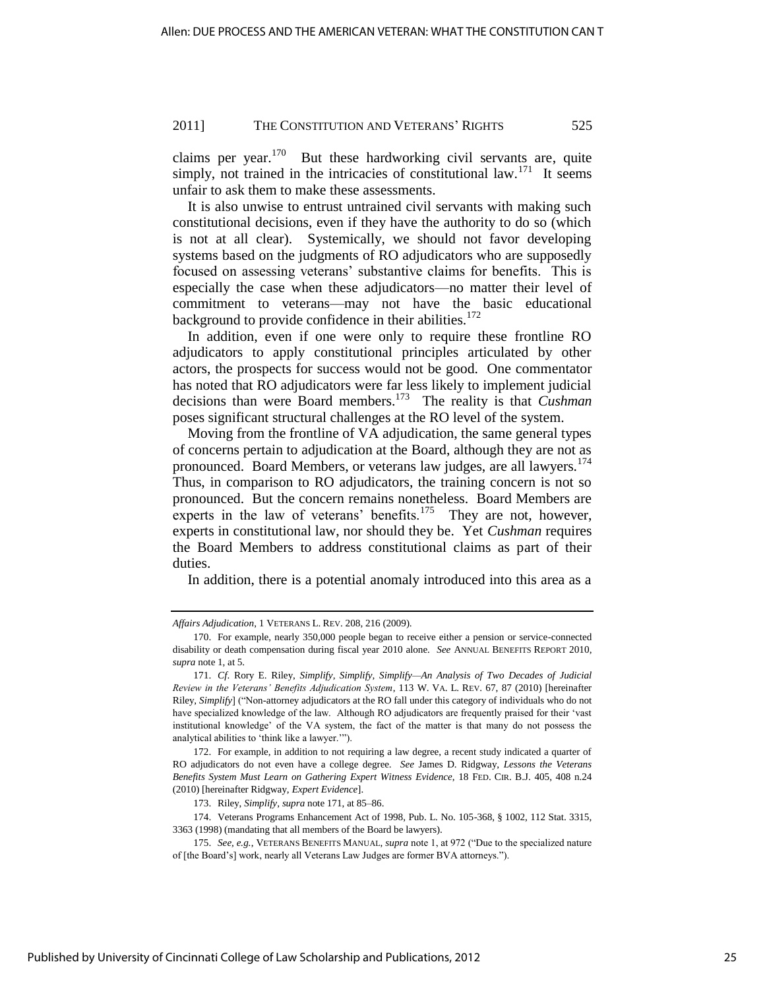claims per year. $170$  But these hardworking civil servants are, quite simply, not trained in the intricacies of constitutional law.<sup>171</sup> It seems unfair to ask them to make these assessments.

It is also unwise to entrust untrained civil servants with making such constitutional decisions, even if they have the authority to do so (which is not at all clear). Systemically, we should not favor developing systems based on the judgments of RO adjudicators who are supposedly focused on assessing veterans' substantive claims for benefits. This is especially the case when these adjudicators—no matter their level of commitment to veterans—may not have the basic educational background to provide confidence in their abilities.<sup>172</sup>

In addition, even if one were only to require these frontline RO adjudicators to apply constitutional principles articulated by other actors, the prospects for success would not be good. One commentator has noted that RO adjudicators were far less likely to implement judicial decisions than were Board members.<sup>173</sup> The reality is that *Cushman* poses significant structural challenges at the RO level of the system.

Moving from the frontline of VA adjudication, the same general types of concerns pertain to adjudication at the Board, although they are not as pronounced. Board Members, or veterans law judges, are all lawyers.<sup>174</sup> Thus, in comparison to RO adjudicators, the training concern is not so pronounced. But the concern remains nonetheless. Board Members are experts in the law of veterans' benefits.<sup>175</sup> They are not, however, experts in constitutional law, nor should they be. Yet *Cushman* requires the Board Members to address constitutional claims as part of their duties.

In addition, there is a potential anomaly introduced into this area as a

*Affairs Adjudication*, 1 VETERANS L. REV. 208, 216 (2009).

<sup>170.</sup> For example, nearly 350,000 people began to receive either a pension or service-connected disability or death compensation during fiscal year 2010 alone. *See* ANNUAL BENEFITS REPORT 2010, *supra* note 1, at 5.

<sup>171.</sup> *Cf*. Rory E. Riley, *Simplify, Simplify, Simplify—An Analysis of Two Decades of Judicial Review in the Veterans' Benefits Adjudication System*, 113 W. VA. L. REV. 67, 87 (2010) [hereinafter Riley, *Simplify*] ("Non-attorney adjudicators at the RO fall under this category of individuals who do not have specialized knowledge of the law. Although RO adjudicators are frequently praised for their 'vast institutional knowledge' of the VA system, the fact of the matter is that many do not possess the analytical abilities to 'think like a lawyer.'").

<sup>172.</sup> For example, in addition to not requiring a law degree, a recent study indicated a quarter of RO adjudicators do not even have a college degree. *See* James D. Ridgway, *Lessons the Veterans Benefits System Must Learn on Gathering Expert Witness Evidence*, 18 FED. CIR. B.J. 405, 408 n.24 (2010) [hereinafter Ridgway, *Expert Evidence*].

<sup>173.</sup> Riley, *Simplify*, *supra* note 171, at 85–86.

<sup>174.</sup> Veterans Programs Enhancement Act of 1998, Pub. L. No. 105-368, § 1002, 112 Stat. 3315, 3363 (1998) (mandating that all members of the Board be lawyers).

<sup>175.</sup> See, e.g., VETERANS BENEFITS MANUAL, *supra* note 1, at 972 ("Due to the specialized nature of [the Board's] work, nearly all Veterans Law Judges are former BVA attorneys.").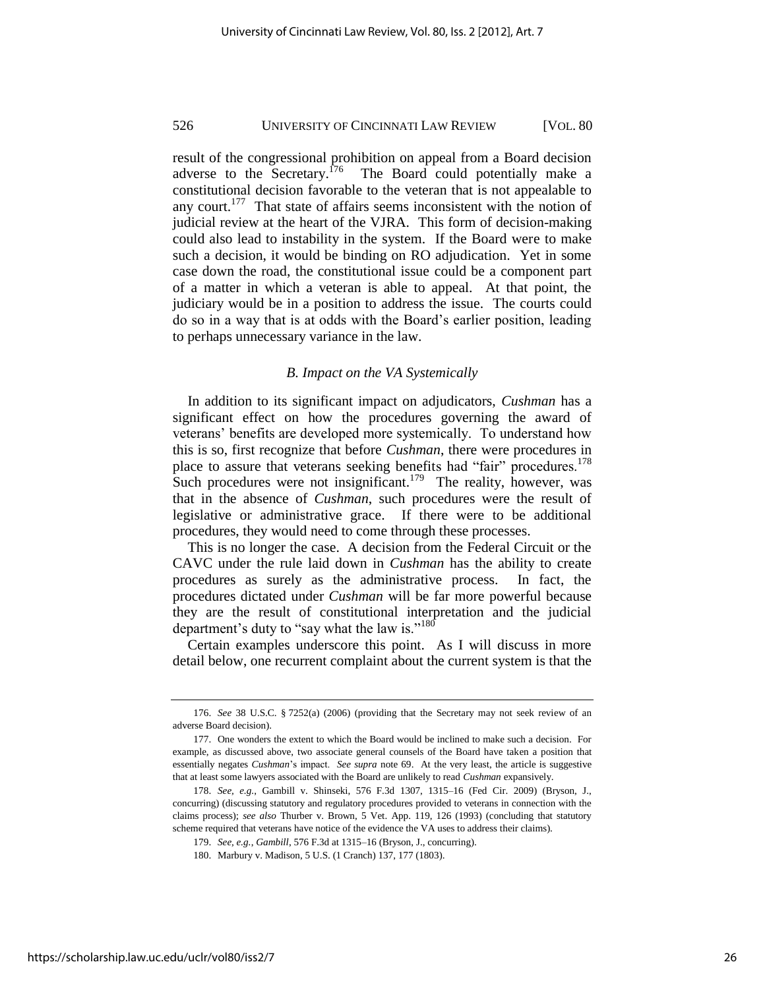result of the congressional prohibition on appeal from a Board decision adverse to the Secretary.<sup>176</sup> The Board could potentially make a constitutional decision favorable to the veteran that is not appealable to any court.<sup>177</sup> That state of affairs seems inconsistent with the notion of judicial review at the heart of the VJRA. This form of decision-making could also lead to instability in the system. If the Board were to make such a decision, it would be binding on RO adjudication. Yet in some case down the road, the constitutional issue could be a component part of a matter in which a veteran is able to appeal. At that point, the judiciary would be in a position to address the issue. The courts could do so in a way that is at odds with the Board's earlier position, leading to perhaps unnecessary variance in the law.

#### *B. Impact on the VA Systemically*

In addition to its significant impact on adjudicators, *Cushman* has a significant effect on how the procedures governing the award of veterans' benefits are developed more systemically. To understand how this is so, first recognize that before *Cushman*, there were procedures in place to assure that veterans seeking benefits had "fair" procedures.<sup>178</sup> Such procedures were not insignificant.<sup>179</sup> The reality, however, was that in the absence of *Cushman*, such procedures were the result of legislative or administrative grace. If there were to be additional procedures, they would need to come through these processes.

This is no longer the case. A decision from the Federal Circuit or the CAVC under the rule laid down in *Cushman* has the ability to create procedures as surely as the administrative process. In fact, the procedures dictated under *Cushman* will be far more powerful because they are the result of constitutional interpretation and the judicial department's duty to "say what the law is."<sup>180</sup>

Certain examples underscore this point. As I will discuss in more detail below, one recurrent complaint about the current system is that the

<sup>176.</sup> *See* 38 U.S.C. § 7252(a) (2006) (providing that the Secretary may not seek review of an adverse Board decision).

<sup>177.</sup> One wonders the extent to which the Board would be inclined to make such a decision. For example, as discussed above, two associate general counsels of the Board have taken a position that essentially negates *Cushman*'s impact. *See supra* note 69. At the very least, the article is suggestive that at least some lawyers associated with the Board are unlikely to read *Cushman* expansively.

<sup>178.</sup> *See, e.g.*, Gambill v. Shinseki, 576 F.3d 1307, 1315–16 (Fed Cir. 2009) (Bryson, J., concurring) (discussing statutory and regulatory procedures provided to veterans in connection with the claims process); *see also* Thurber v. Brown, 5 Vet. App. 119, 126 (1993) (concluding that statutory scheme required that veterans have notice of the evidence the VA uses to address their claims).

<sup>179.</sup> *See, e.g.*, *Gambill*, 576 F.3d at 1315–16 (Bryson, J., concurring).

<sup>180.</sup> Marbury v. Madison, 5 U.S. (1 Cranch) 137, 177 (1803).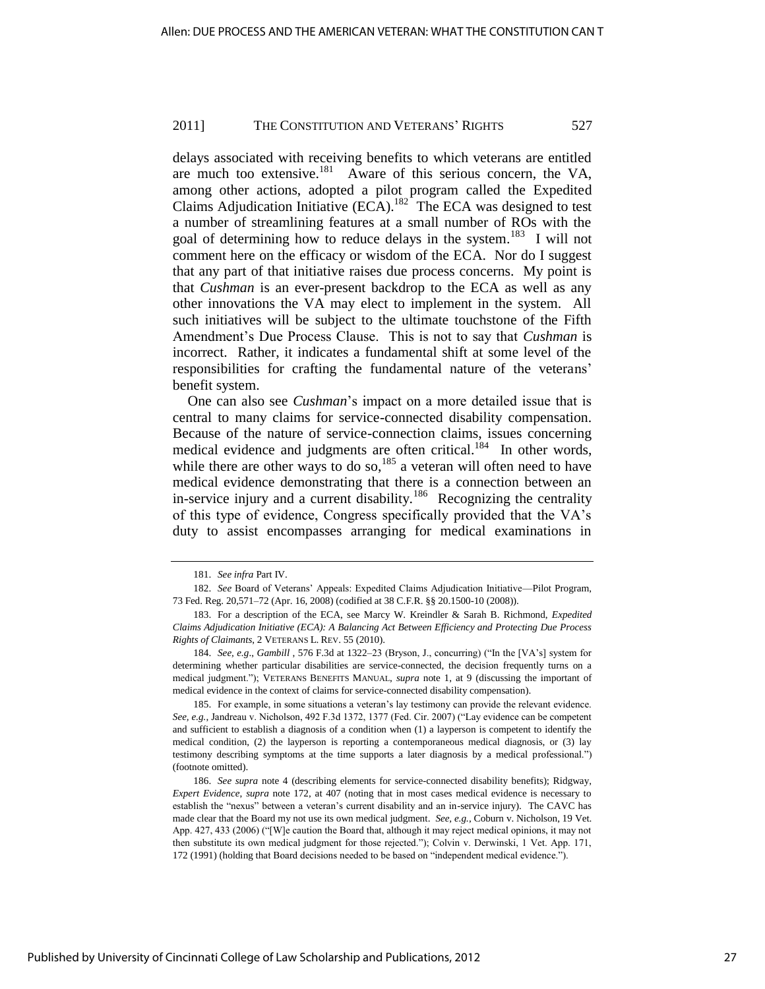delays associated with receiving benefits to which veterans are entitled are much too extensive.<sup>181</sup> Aware of this serious concern, the VA, among other actions, adopted a pilot program called the Expedited Claims Adjudication Initiative  $(ECA)$ .<sup>182</sup> The ECA was designed to test a number of streamlining features at a small number of ROs with the goal of determining how to reduce delays in the system.<sup>183</sup> I will not comment here on the efficacy or wisdom of the ECA. Nor do I suggest that any part of that initiative raises due process concerns. My point is that *Cushman* is an ever-present backdrop to the ECA as well as any other innovations the VA may elect to implement in the system. All such initiatives will be subject to the ultimate touchstone of the Fifth Amendment's Due Process Clause. This is not to say that *Cushman* is incorrect. Rather, it indicates a fundamental shift at some level of the responsibilities for crafting the fundamental nature of the veterans' benefit system.

One can also see *Cushman*'s impact on a more detailed issue that is central to many claims for service-connected disability compensation. Because of the nature of service-connection claims, issues concerning medical evidence and judgments are often critical.<sup>184</sup> In other words, while there are other ways to do so,<sup>185</sup> a veteran will often need to have medical evidence demonstrating that there is a connection between an in-service injury and a current disability.<sup>186</sup> Recognizing the centrality of this type of evidence, Congress specifically provided that the VA's duty to assist encompasses arranging for medical examinations in

185. For example, in some situations a veteran's lay testimony can provide the relevant evidence. See, e.g., Jandreau v. Nicholson, 492 F.3d 1372, 1377 (Fed. Cir. 2007) ("Lay evidence can be competent and sufficient to establish a diagnosis of a condition when (1) a layperson is competent to identify the medical condition, (2) the layperson is reporting a contemporaneous medical diagnosis, or (3) lay testimony describing symptoms at the time supports a later diagnosis by a medical professional.") (footnote omitted).

<sup>181.</sup> *See infra* Part IV.

<sup>182.</sup> *See* Board of Veterans' Appeals: Expedited Claims Adjudication Initiative—Pilot Program, 73 Fed. Reg. 20,571–72 (Apr. 16, 2008) (codified at 38 C.F.R. §§ 20.1500-10 (2008)).

<sup>183.</sup> For a description of the ECA, see Marcy W. Kreindler & Sarah B. Richmond, *Expedited Claims Adjudication Initiative (ECA): A Balancing Act Between Efficiency and Protecting Due Process Rights of Claimants*, 2 VETERANS L. REV. 55 (2010).

<sup>184.</sup> *See, e.g., Gambill* , 576 F.3d at 1322-23 (Bryson, J., concurring) ("In the [VA's] system for determining whether particular disabilities are service-connected, the decision frequently turns on a medical judgment."); VETERANS BENEFITS MANUAL, *supra* note 1, at 9 (discussing the important of medical evidence in the context of claims for service-connected disability compensation).

<sup>186.</sup> *See supra* note 4 (describing elements for service-connected disability benefits); Ridgway, *Expert Evidence*, *supra* note 172, at 407 (noting that in most cases medical evidence is necessary to establish the "nexus" between a veteran's current disability and an in-service injury). The CAVC has made clear that the Board my not use its own medical judgment. *See, e.g.*, Coburn v. Nicholson, 19 Vet. App. 427, 433 (2006) ("[W]e caution the Board that, although it may reject medical opinions, it may not then substitute its own medical judgment for those rejected."); Colvin v. Derwinski, 1 Vet. App. 171, 172 (1991) (holding that Board decisions needed to be based on "independent medical evidence.").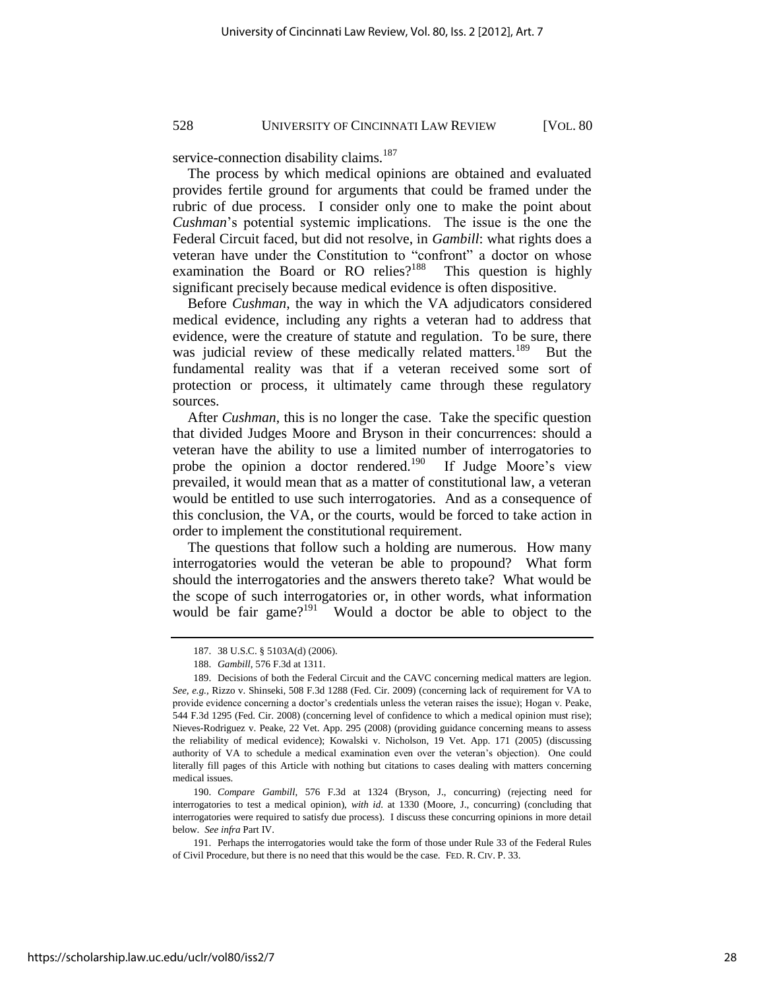service-connection disability claims.<sup>187</sup>

The process by which medical opinions are obtained and evaluated provides fertile ground for arguments that could be framed under the rubric of due process. I consider only one to make the point about *Cushman*'s potential systemic implications. The issue is the one the Federal Circuit faced, but did not resolve, in *Gambill*: what rights does a veteran have under the Constitution to "confront" a doctor on whose examination the Board or RO relies?<sup>188</sup> This question is highly significant precisely because medical evidence is often dispositive.

Before *Cushman*, the way in which the VA adjudicators considered medical evidence, including any rights a veteran had to address that evidence, were the creature of statute and regulation. To be sure, there was judicial review of these medically related matters.<sup>189</sup> But the fundamental reality was that if a veteran received some sort of protection or process, it ultimately came through these regulatory sources.

After *Cushman*, this is no longer the case. Take the specific question that divided Judges Moore and Bryson in their concurrences: should a veteran have the ability to use a limited number of interrogatories to probe the opinion a doctor rendered.<sup>190</sup> If Judge Moore's view prevailed, it would mean that as a matter of constitutional law, a veteran would be entitled to use such interrogatories. And as a consequence of this conclusion, the VA, or the courts, would be forced to take action in order to implement the constitutional requirement.

The questions that follow such a holding are numerous. How many interrogatories would the veteran be able to propound? What form should the interrogatories and the answers thereto take? What would be the scope of such interrogatories or, in other words, what information would be fair game?<sup>191</sup> Would a doctor be able to object to the

<sup>187. 38</sup> U.S.C. § 5103A(d) (2006).

<sup>188.</sup> *Gambill*, 576 F.3d at 1311.

<sup>189.</sup> Decisions of both the Federal Circuit and the CAVC concerning medical matters are legion. *See, e.g.,* Rizzo v. Shinseki, 508 F.3d 1288 (Fed. Cir. 2009) (concerning lack of requirement for VA to provide evidence concerning a doctor's credentials unless the veteran raises the issue); Hogan v. Peake, 544 F.3d 1295 (Fed. Cir. 2008) (concerning level of confidence to which a medical opinion must rise); Nieves-Rodriguez v. Peake, 22 Vet. App. 295 (2008) (providing guidance concerning means to assess the reliability of medical evidence); Kowalski v. Nicholson, 19 Vet. App. 171 (2005) (discussing authority of VA to schedule a medical examination even over the veteran's objection). One could literally fill pages of this Article with nothing but citations to cases dealing with matters concerning medical issues.

<sup>190.</sup> *Compare Gambill*, 576 F.3d at 1324 (Bryson, J., concurring) (rejecting need for interrogatories to test a medical opinion), *with id*. at 1330 (Moore, J., concurring) (concluding that interrogatories were required to satisfy due process). I discuss these concurring opinions in more detail below. *See infra* Part IV.

<sup>191.</sup> Perhaps the interrogatories would take the form of those under Rule 33 of the Federal Rules of Civil Procedure, but there is no need that this would be the case. FED. R. CIV. P. 33.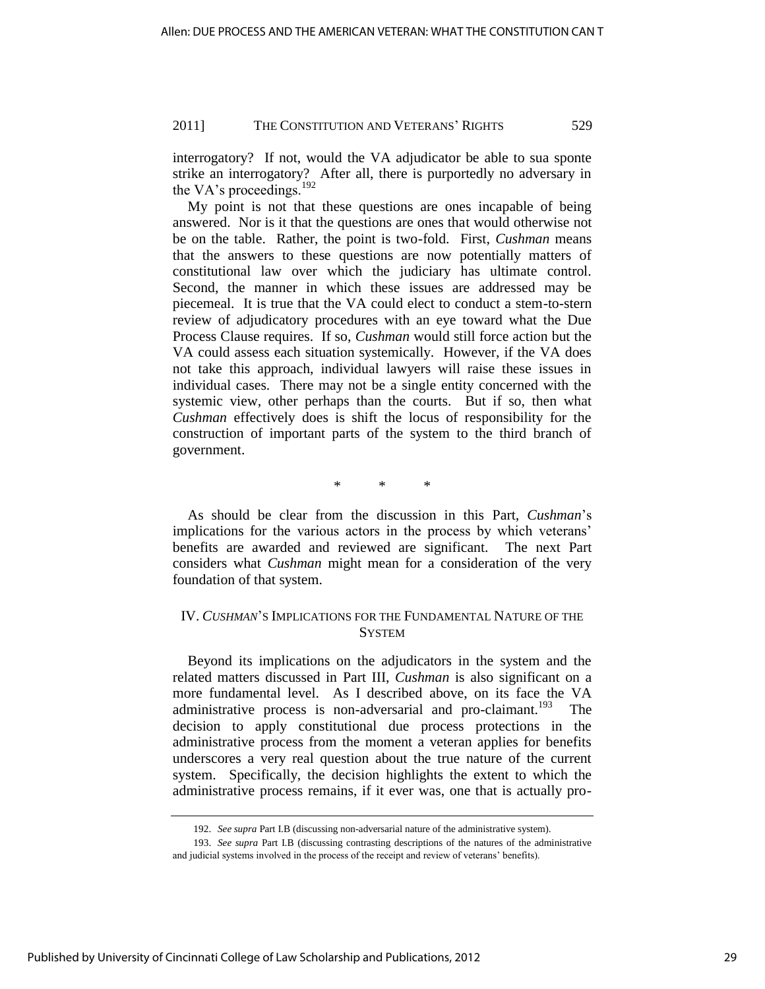interrogatory? If not, would the VA adjudicator be able to sua sponte strike an interrogatory? After all, there is purportedly no adversary in the VA's proceedings.<sup>192</sup>

My point is not that these questions are ones incapable of being answered. Nor is it that the questions are ones that would otherwise not be on the table. Rather, the point is two-fold. First, *Cushman* means that the answers to these questions are now potentially matters of constitutional law over which the judiciary has ultimate control. Second, the manner in which these issues are addressed may be piecemeal. It is true that the VA could elect to conduct a stem-to-stern review of adjudicatory procedures with an eye toward what the Due Process Clause requires. If so, *Cushman* would still force action but the VA could assess each situation systemically. However, if the VA does not take this approach, individual lawyers will raise these issues in individual cases. There may not be a single entity concerned with the systemic view, other perhaps than the courts. But if so, then what *Cushman* effectively does is shift the locus of responsibility for the construction of important parts of the system to the third branch of government.

\* \* \*

As should be clear from the discussion in this Part, *Cushman*'s implications for the various actors in the process by which veterans' benefits are awarded and reviewed are significant. The next Part considers what *Cushman* might mean for a consideration of the very foundation of that system.

## IV. *CUSHMAN*'S IMPLICATIONS FOR THE FUNDAMENTAL NATURE OF THE **SYSTEM**

Beyond its implications on the adjudicators in the system and the related matters discussed in Part III, *Cushman* is also significant on a more fundamental level. As I described above, on its face the VA administrative process is non-adversarial and pro-claimant.<sup>193</sup> The decision to apply constitutional due process protections in the administrative process from the moment a veteran applies for benefits underscores a very real question about the true nature of the current system. Specifically, the decision highlights the extent to which the administrative process remains, if it ever was, one that is actually pro-

<sup>192.</sup> *See supra* Part I.B (discussing non-adversarial nature of the administrative system).

<sup>193.</sup> *See supra* Part I.B (discussing contrasting descriptions of the natures of the administrative and judicial systems involved in the process of the receipt and review of veterans' benefits).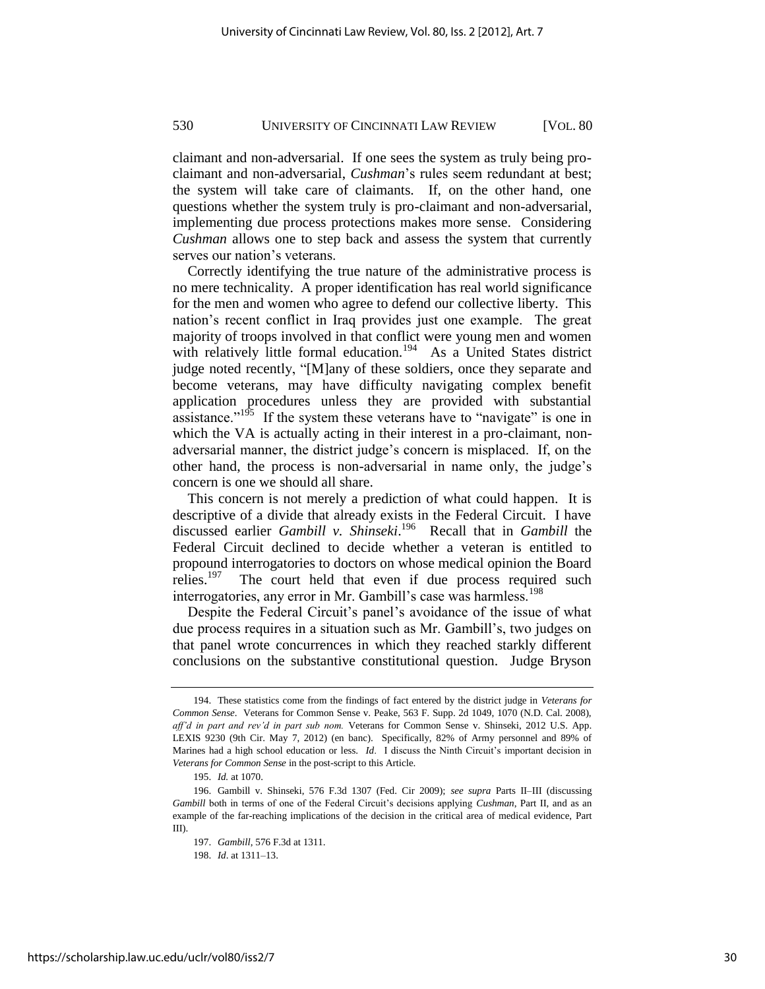claimant and non-adversarial. If one sees the system as truly being proclaimant and non-adversarial, *Cushman*'s rules seem redundant at best; the system will take care of claimants. If, on the other hand, one questions whether the system truly is pro-claimant and non-adversarial, implementing due process protections makes more sense. Considering *Cushman* allows one to step back and assess the system that currently serves our nation's veterans.

Correctly identifying the true nature of the administrative process is no mere technicality. A proper identification has real world significance for the men and women who agree to defend our collective liberty. This nation's recent conflict in Iraq provides just one example. The great majority of troops involved in that conflict were young men and women with relatively little formal education.<sup>194</sup> As a United States district judge noted recently, "[M]any of these soldiers, once they separate and become veterans, may have difficulty navigating complex benefit application procedures unless they are provided with substantial assistance.<sup> $195$ </sup> If the system these veterans have to "navigate" is one in which the VA is actually acting in their interest in a pro-claimant, nonadversarial manner, the district judge's concern is misplaced. If, on the other hand, the process is non-adversarial in name only, the judge's concern is one we should all share.

This concern is not merely a prediction of what could happen. It is descriptive of a divide that already exists in the Federal Circuit. I have discussed earlier *Gambill v. Shinseki*. 196 Recall that in *Gambill* the Federal Circuit declined to decide whether a veteran is entitled to propound interrogatories to doctors on whose medical opinion the Board relies.<sup>197</sup> The court held that even if due process required such interrogatories, any error in Mr. Gambill's case was harmless.<sup>198</sup>

Despite the Federal Circuit's panel's avoidance of the issue of what due process requires in a situation such as Mr. Gambill's, two judges on that panel wrote concurrences in which they reached starkly different conclusions on the substantive constitutional question. Judge Bryson

<sup>194.</sup> These statistics come from the findings of fact entered by the district judge in *Veterans for Common Sense*. Veterans for Common Sense v. Peake, 563 F. Supp. 2d 1049, 1070 (N.D. Cal. 2008), *aff'd in part and rev'd in part sub nom.* Veterans for Common Sense v. Shinseki, 2012 U.S. App. LEXIS 9230 (9th Cir. May 7, 2012) (en banc). Specifically, 82% of Army personnel and 89% of Marines had a high school education or less. *Id*. I discuss the Ninth Circuit's important decision in *Veterans for Common Sense* in the post-script to this Article.

<sup>195.</sup> *Id.* at 1070.

<sup>196.</sup> Gambill v. Shinseki, 576 F.3d 1307 (Fed. Cir 2009); *see supra* Parts II–III (discussing *Gambill* both in terms of one of the Federal Circuit's decisions applying *Cushman*, Part II, and as an example of the far-reaching implications of the decision in the critical area of medical evidence, Part III).

<sup>197.</sup> *Gambill*, 576 F.3d at 1311.

<sup>198.</sup> *Id*. at 1311–13.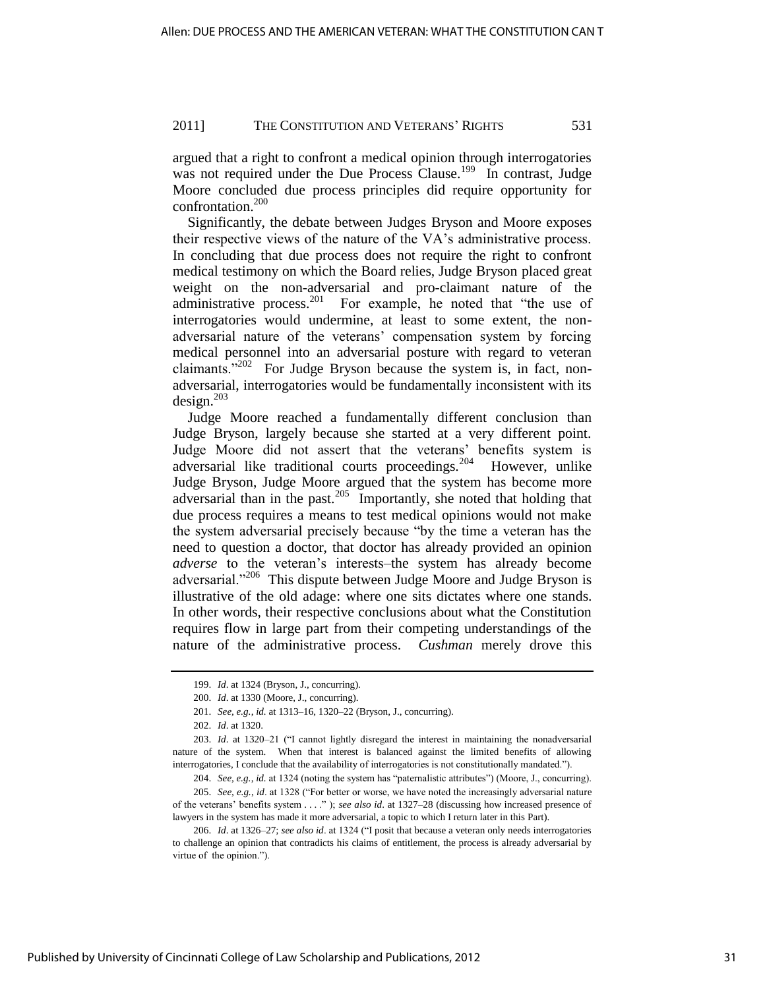argued that a right to confront a medical opinion through interrogatories was not required under the Due Process Clause.<sup>199</sup> In contrast, Judge Moore concluded due process principles did require opportunity for confrontation.<sup>200</sup>

Significantly, the debate between Judges Bryson and Moore exposes their respective views of the nature of the VA's administrative process. In concluding that due process does not require the right to confront medical testimony on which the Board relies, Judge Bryson placed great weight on the non-adversarial and pro-claimant nature of the administrative process.<sup>201</sup> For example, he noted that "the use of interrogatories would undermine, at least to some extent, the nonadversarial nature of the veterans' compensation system by forcing medical personnel into an adversarial posture with regard to veteran claimants." $202$  For Judge Bryson because the system is, in fact, nonadversarial, interrogatories would be fundamentally inconsistent with its  $design.<sup>203</sup>$ 

Judge Moore reached a fundamentally different conclusion than Judge Bryson, largely because she started at a very different point. Judge Moore did not assert that the veterans' benefits system is adversarial like traditional courts proceedings.<sup>204</sup> However, unlike Judge Bryson, Judge Moore argued that the system has become more adversarial than in the past.<sup>205</sup> Importantly, she noted that holding that due process requires a means to test medical opinions would not make the system adversarial precisely because "by the time a veteran has the need to question a doctor, that doctor has already provided an opinion *adverse* to the veteran's interests–the system has already become adversarial."<sup>206</sup> This dispute between Judge Moore and Judge Bryson is illustrative of the old adage: where one sits dictates where one stands. In other words, their respective conclusions about what the Constitution requires flow in large part from their competing understandings of the nature of the administrative process. *Cushman* merely drove this

<sup>199.</sup> *Id*. at 1324 (Bryson, J., concurring).

<sup>200.</sup> *Id*. at 1330 (Moore, J., concurring).

<sup>201.</sup> *See, e.g.*, *id.* at 1313–16, 1320–22 (Bryson, J., concurring).

<sup>202.</sup> *Id*. at 1320.

<sup>203.</sup> *Id.* at 1320-21 ("I cannot lightly disregard the interest in maintaining the nonadversarial nature of the system. When that interest is balanced against the limited benefits of allowing interrogatories, I conclude that the availability of interrogatories is not constitutionally mandated.").

<sup>204.</sup> *See, e.g., id.* at 1324 (noting the system has "paternalistic attributes") (Moore, J., concurring). 205. *See, e.g., id.* at 1328 ("For better or worse, we have noted the increasingly adversarial nature of the veterans' benefits system . . . ."); *see also id*. at 1327-28 (discussing how increased presence of lawyers in the system has made it more adversarial, a topic to which I return later in this Part).

<sup>206.</sup> *Id.* at 1326–27; *see also id.* at 1324 ("I posit that because a veteran only needs interrogatories to challenge an opinion that contradicts his claims of entitlement, the process is already adversarial by virtue of the opinion.").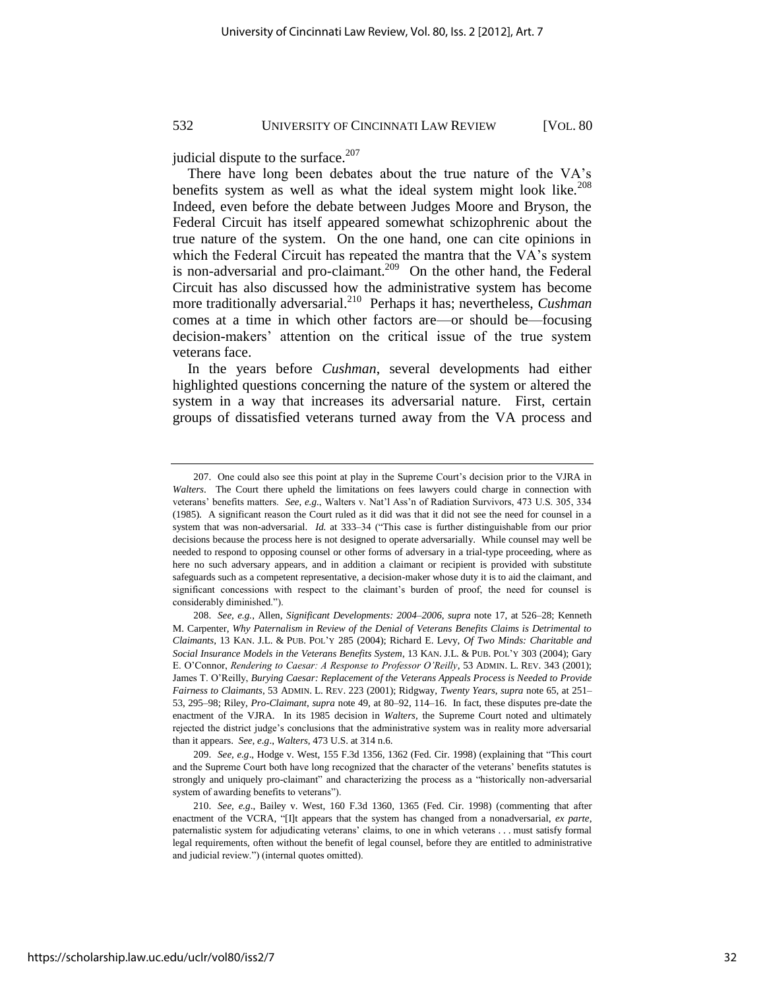judicial dispute to the surface. $207$ 

There have long been debates about the true nature of the VA's benefits system as well as what the ideal system might look like.<sup>208</sup> Indeed, even before the debate between Judges Moore and Bryson, the Federal Circuit has itself appeared somewhat schizophrenic about the true nature of the system. On the one hand, one can cite opinions in which the Federal Circuit has repeated the mantra that the VA's system is non-adversarial and pro-claimant.<sup>209</sup> On the other hand, the Federal Circuit has also discussed how the administrative system has become more traditionally adversarial.<sup>210</sup> Perhaps it has; nevertheless, *Cushman* comes at a time in which other factors are—or should be—focusing decision-makers' attention on the critical issue of the true system veterans face.

In the years before *Cushman*, several developments had either highlighted questions concerning the nature of the system or altered the system in a way that increases its adversarial nature. First, certain groups of dissatisfied veterans turned away from the VA process and

<sup>207.</sup> One could also see this point at play in the Supreme Court's decision prior to the VJRA in *Walters*. The Court there upheld the limitations on fees lawyers could charge in connection with veterans' benefits matters. *See*, *e.g.*, Walters v. Nat'l Ass'n of Radiation Survivors, 473 U.S. 305, 334 (1985). A significant reason the Court ruled as it did was that it did not see the need for counsel in a system that was non-adversarial. *Id.* at 333–34 ("This case is further distinguishable from our prior decisions because the process here is not designed to operate adversarially. While counsel may well be needed to respond to opposing counsel or other forms of adversary in a trial-type proceeding, where as here no such adversary appears, and in addition a claimant or recipient is provided with substitute safeguards such as a competent representative, a decision-maker whose duty it is to aid the claimant, and significant concessions with respect to the claimant's burden of proof, the need for counsel is considerably diminished.").

<sup>208.</sup> *See, e.g.*, Allen, *Significant Developments: 2004–2006*, *supra* note 17, at 526–28; Kenneth M. Carpenter, *Why Paternalism in Review of the Denial of Veterans Benefits Claims is Detrimental to Claimants*, 13 KAN. J.L. & PUB. POL'Y 285 (2004); Richard E. Levy, *Of Two Minds: Charitable and Social Insurance Models in the Veterans Benefits System*, 13 KAN. J.L. & PUB. POL'Y 303 (2004); Gary E. O'Connor, *Rendering to Caesar: A Response to Professor O'Reilly*, 53 ADMIN. L. REV. 343 (2001); James T. O'Reilly, *Burying Caesar: Replacement of the Veterans Appeals Process is Needed to Provide Fairness to Claimants*, 53 ADMIN. L. REV. 223 (2001); Ridgway, *Twenty Years*, *supra* note 65, at 251– 53, 295–98; Riley, *Pro-Claimant*, *supra* note 49, at 80–92, 114–16. In fact, these disputes pre-date the enactment of the VJRA. In its 1985 decision in *Walters*, the Supreme Court noted and ultimately rejected the district judge's conclusions that the administrative system was in reality more adversarial than it appears. *See, e.g*., *Walters*, 473 U.S. at 314 n.6.

<sup>209.</sup> *See, e.g.*, Hodge v. West, 155 F.3d 1356, 1362 (Fed. Cir. 1998) (explaining that "This court and the Supreme Court both have long recognized that the character of the veterans' benefits statutes is strongly and uniquely pro-claimant" and characterizing the process as a "historically non-adversarial system of awarding benefits to veterans").

<sup>210.</sup> *See, e.g*., Bailey v. West, 160 F.3d 1360, 1365 (Fed. Cir. 1998) (commenting that after enactment of the VCRA, "[I]t appears that the system has changed from a nonadversarial, ex parte, paternalistic system for adjudicating veterans' claims, to one in which veterans . . . must satisfy formal legal requirements, often without the benefit of legal counsel, before they are entitled to administrative and judicial review.") (internal quotes omitted).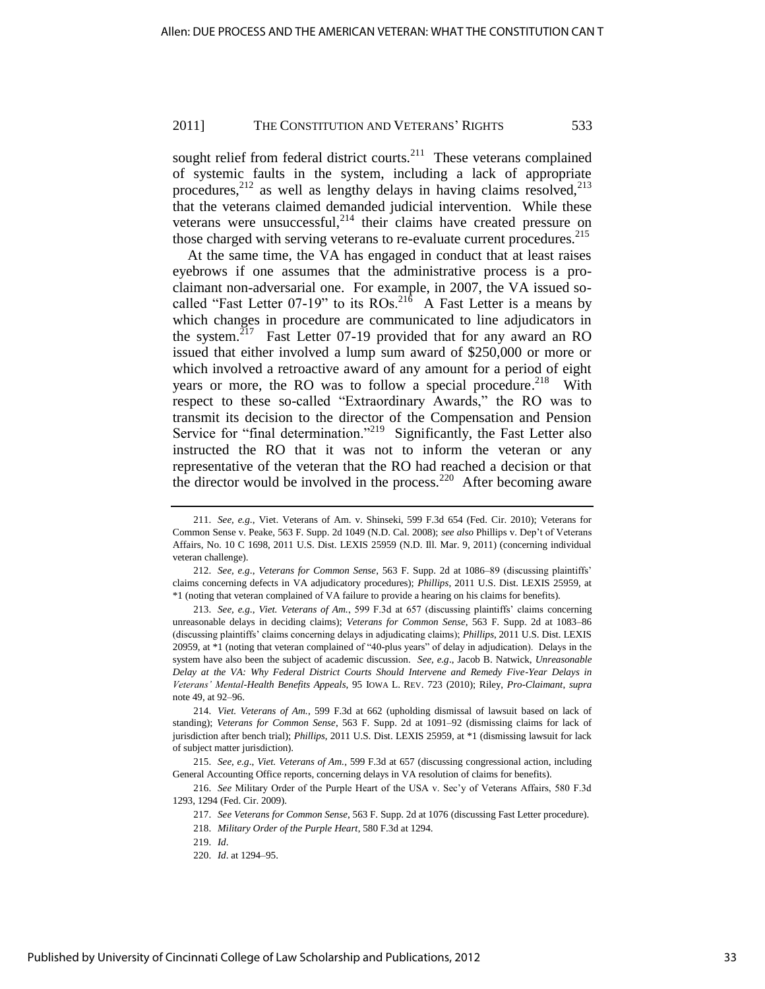sought relief from federal district courts. $^{211}$  These veterans complained of systemic faults in the system, including a lack of appropriate procedures,<sup>212</sup> as well as lengthy delays in having claims resolved,<sup>213</sup> that the veterans claimed demanded judicial intervention. While these veterans were unsuccessful, $^{214}$  their claims have created pressure on those charged with serving veterans to re-evaluate current procedures.<sup>215</sup>

At the same time, the VA has engaged in conduct that at least raises eyebrows if one assumes that the administrative process is a proclaimant non-adversarial one. For example, in 2007, the VA issued socalled "Fast Letter 07-19" to its  $ROs.^{216}$  A Fast Letter is a means by which changes in procedure are communicated to line adjudicators in the system.<sup>217</sup> Fast Letter 07-19 provided that for any award an RO issued that either involved a lump sum award of \$250,000 or more or which involved a retroactive award of any amount for a period of eight years or more, the RO was to follow a special procedure.<sup>218</sup> With respect to these so-called "Extraordinary Awards," the RO was to transmit its decision to the director of the Compensation and Pension Service for "final determination."<sup>219</sup> Significantly, the Fast Letter also instructed the RO that it was not to inform the veteran or any representative of the veteran that the RO had reached a decision or that the director would be involved in the process.<sup>220</sup> After becoming aware

213. *See, e.g*., *Viet. Veterans of Am.*, 599 F.3d at 657 (discussing plaintiffs' claims concerning unreasonable delays in deciding claims); *Veterans for Common Sense*, 563 F. Supp. 2d at 1083–86 (discussing plaintiffs' claims concerning delays in adjudicating claims); *Phillips*, 2011 U.S. Dist. LEXIS 20959, at \*1 (noting that veteran complained of "40-plus years" of delay in adjudication). Delays in the system have also been the subject of academic discussion. *See, e.g*., Jacob B. Natwick, *Unreasonable Delay at the VA: Why Federal District Courts Should Intervene and Remedy Five-Year Delays in Veterans' Mental-Health Benefits Appeals*, 95 IOWA L. REV. 723 (2010); Riley, *Pro-Claimant*, *supra* note 49, at 92–96.

<sup>211.</sup> *See, e.g*., Viet. Veterans of Am. v. Shinseki, 599 F.3d 654 (Fed. Cir. 2010); Veterans for Common Sense v. Peake, 563 F. Supp. 2d 1049 (N.D. Cal. 2008); *see also* Phillips v. Dep't of Veterans Affairs, No. 10 C 1698, 2011 U.S. Dist. LEXIS 25959 (N.D. Ill. Mar. 9, 2011) (concerning individual veteran challenge).

<sup>212.</sup> *See, e.g*., *Veterans for Common Sense*, 563 F. Supp. 2d at 1086–89 (discussing plaintiffs' claims concerning defects in VA adjudicatory procedures); *Phillips*, 2011 U.S. Dist. LEXIS 25959, at \*1 (noting that veteran complained of VA failure to provide a hearing on his claims for benefits).

<sup>214.</sup> *Viet. Veterans of Am.*, 599 F.3d at 662 (upholding dismissal of lawsuit based on lack of standing); *Veterans for Common Sense*, 563 F. Supp. 2d at 1091–92 (dismissing claims for lack of jurisdiction after bench trial); *Phillips*, 2011 U.S. Dist. LEXIS 25959, at \*1 (dismissing lawsuit for lack of subject matter jurisdiction).

<sup>215.</sup> *See, e.g*., *Viet. Veterans of Am.*, 599 F.3d at 657 (discussing congressional action, including General Accounting Office reports, concerning delays in VA resolution of claims for benefits).

<sup>216.</sup> *See* Military Order of the Purple Heart of the USA v. Sec'y of Veterans Affairs, 580 F.3d 1293, 1294 (Fed. Cir. 2009).

<sup>217.</sup> *See Veterans for Common Sense*, 563 F. Supp. 2d at 1076 (discussing Fast Letter procedure).

<sup>218.</sup> *Military Order of the Purple Heart*, 580 F.3d at 1294.

<sup>219.</sup> *Id*.

<sup>220.</sup> *Id*. at 1294–95.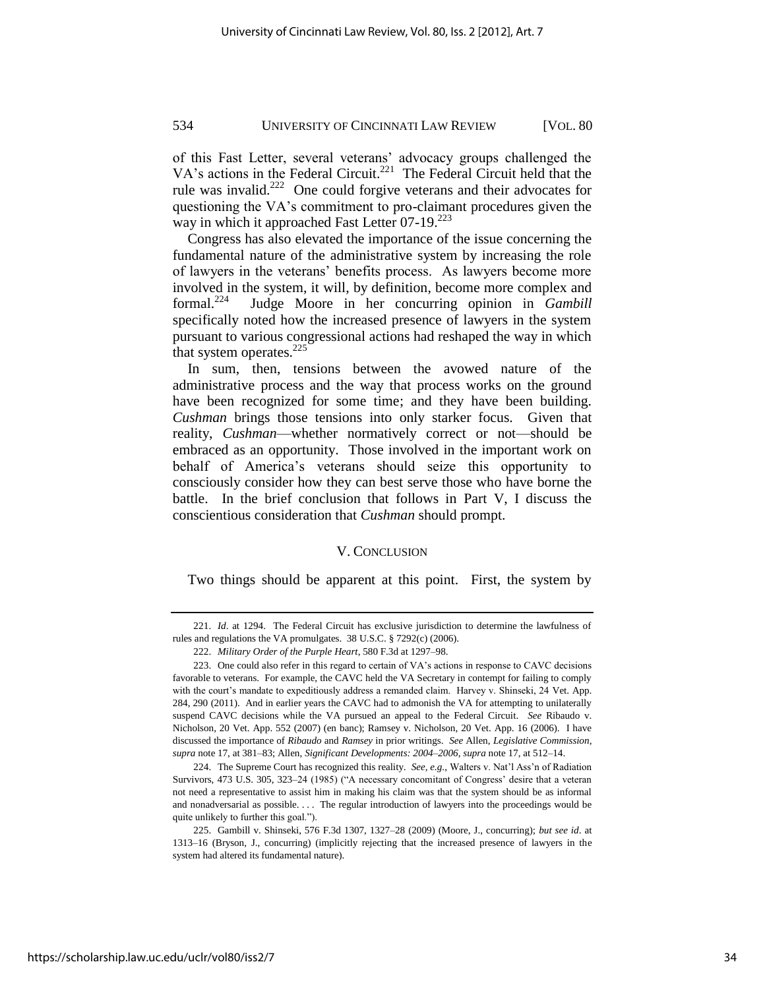of this Fast Letter, several veterans' advocacy groups challenged the VA's actions in the Federal Circuit.<sup>221</sup> The Federal Circuit held that the rule was invalid.<sup>222</sup> One could forgive veterans and their advocates for questioning the VA's commitment to pro-claimant procedures given the way in which it approached Fast Letter 07-19.<sup>223</sup>

Congress has also elevated the importance of the issue concerning the fundamental nature of the administrative system by increasing the role of lawyers in the veterans' benefits process. As lawyers become more involved in the system, it will, by definition, become more complex and formal. $224$  Judge Moore in her concurring opinion in *Gambill* specifically noted how the increased presence of lawyers in the system pursuant to various congressional actions had reshaped the way in which that system operates. $225$ 

In sum, then, tensions between the avowed nature of the administrative process and the way that process works on the ground have been recognized for some time; and they have been building. *Cushman* brings those tensions into only starker focus. Given that reality, *Cushman*—whether normatively correct or not—should be embraced as an opportunity. Those involved in the important work on behalf of America's veterans should seize this opportunity to consciously consider how they can best serve those who have borne the battle. In the brief conclusion that follows in Part V, I discuss the conscientious consideration that *Cushman* should prompt.

#### V. CONCLUSION

Two things should be apparent at this point. First, the system by

<sup>221.</sup> *Id*. at 1294. The Federal Circuit has exclusive jurisdiction to determine the lawfulness of rules and regulations the VA promulgates. 38 U.S.C. § 7292(c) (2006).

<sup>222.</sup> *Military Order of the Purple Heart*, 580 F.3d at 1297–98.

<sup>223.</sup> One could also refer in this regard to certain of VA's actions in response to CAVC decisions favorable to veterans. For example, the CAVC held the VA Secretary in contempt for failing to comply with the court's mandate to expeditiously address a remanded claim. Harvey v. Shinseki, 24 Vet. App. 284, 290 (2011). And in earlier years the CAVC had to admonish the VA for attempting to unilaterally suspend CAVC decisions while the VA pursued an appeal to the Federal Circuit. *See* Ribaudo v. Nicholson, 20 Vet. App. 552 (2007) (en banc); Ramsey v. Nicholson, 20 Vet. App. 16 (2006). I have discussed the importance of *Ribaudo* and *Ramsey* in prior writings. *See* Allen, *Legislative Commission*, *supra* note 17, at 381–83; Allen, *Significant Developments: 2004–2006*, *supra* note 17, at 512–14.

<sup>224.</sup> The Supreme Court has recognized this reality. *See, e.g.*, Walters v. Nat'l Ass'n of Radiation Survivors, 473 U.S. 305, 323–24 (1985) ("A necessary concomitant of Congress' desire that a veteran not need a representative to assist him in making his claim was that the system should be as informal and nonadversarial as possible. . . . The regular introduction of lawyers into the proceedings would be quite unlikely to further this goal.").

<sup>225.</sup> Gambill v. Shinseki, 576 F.3d 1307, 1327–28 (2009) (Moore, J., concurring); *but see id*. at 1313–16 (Bryson, J., concurring) (implicitly rejecting that the increased presence of lawyers in the system had altered its fundamental nature).